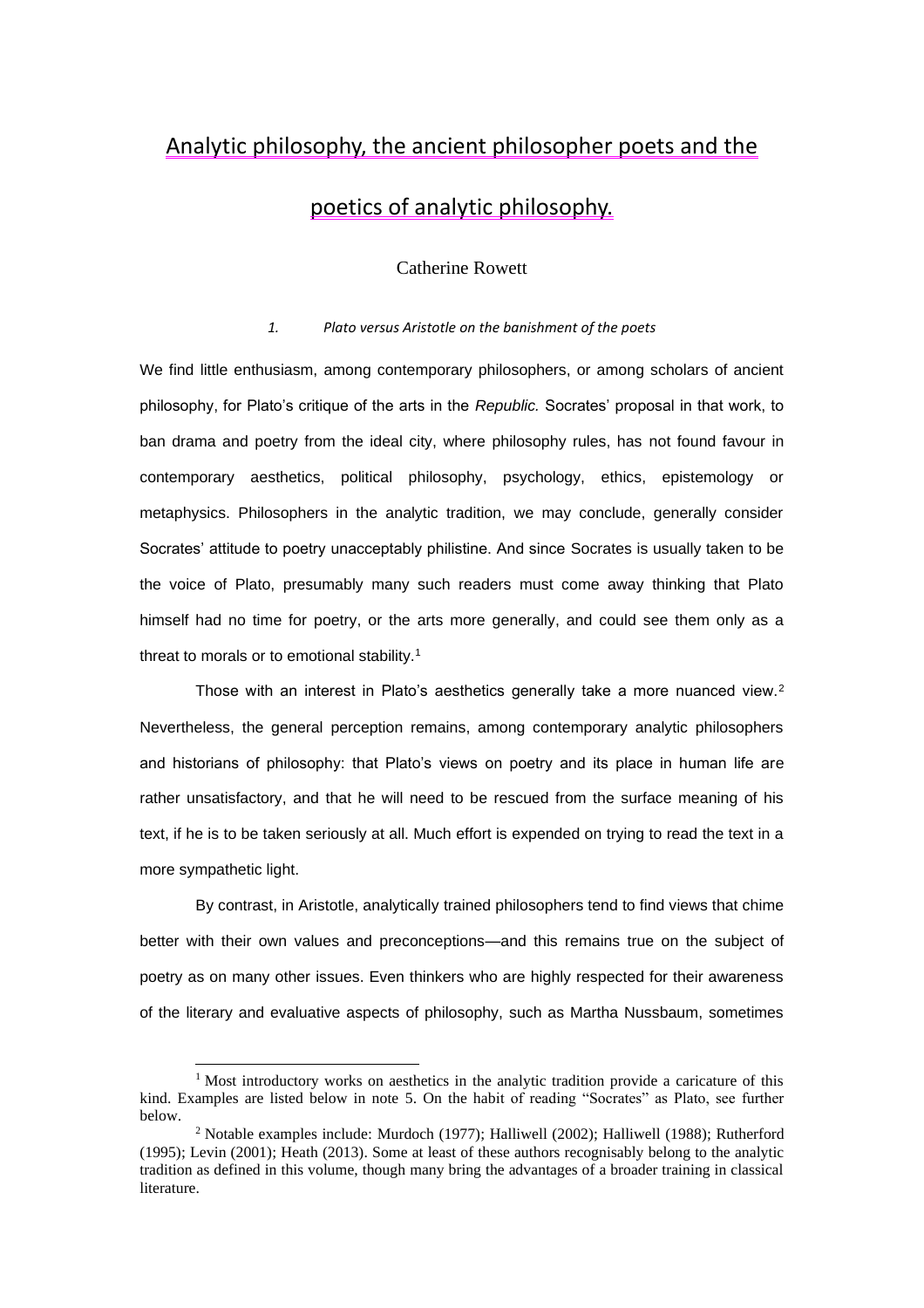# Analytic philosophy, the ancient philosopher poets and the

# poetics of analytic philosophy.

## Catherine Rowett

#### *1. Plato versus Aristotle on the banishment of the poets*

We find little enthusiasm, among contemporary philosophers, or among scholars of ancient philosophy, for Plato's critique of the arts in the *Republic.* Socrates' proposal in that work, to ban drama and poetry from the ideal city, where philosophy rules, has not found favour in contemporary aesthetics, political philosophy, psychology, ethics, epistemology or metaphysics. Philosophers in the analytic tradition, we may conclude, generally consider Socrates' attitude to poetry unacceptably philistine. And since Socrates is usually taken to be the voice of Plato, presumably many such readers must come away thinking that Plato himself had no time for poetry, or the arts more generally, and could see them only as a threat to morals or to emotional stability.<sup>1</sup>

Those with an interest in Plato's aesthetics generally take a more nuanced view.<sup>2</sup> Nevertheless, the general perception remains, among contemporary analytic philosophers and historians of philosophy: that Plato's views on poetry and its place in human life are rather unsatisfactory, and that he will need to be rescued from the surface meaning of his text, if he is to be taken seriously at all. Much effort is expended on trying to read the text in a more sympathetic light.

By contrast, in Aristotle, analytically trained philosophers tend to find views that chime better with their own values and preconceptions—and this remains true on the subject of poetry as on many other issues. Even thinkers who are highly respected for their awareness of the literary and evaluative aspects of philosophy, such as Martha Nussbaum, sometimes

<sup>&</sup>lt;sup>1</sup> Most introductory works on aesthetics in the analytic tradition provide a caricature of this kind. Examples are listed below in note [5.](#page-1-0) On the habit of reading "Socrates" as Plato, see further below.

<sup>2</sup> Notable examples include: [Murdoch \(1977\);](#page-23-0) [Halliwell \(2002\);](#page-22-0) [Halliwell \(1988\);](#page-22-1) [Rutherford](#page-24-0)  [\(1995\);](#page-24-0) [Levin \(2001\);](#page-22-2) [Heath \(2013\).](#page-22-3) Some at least of these authors recognisably belong to the analytic tradition as defined in this volume, though many bring the advantages of a broader training in classical literature.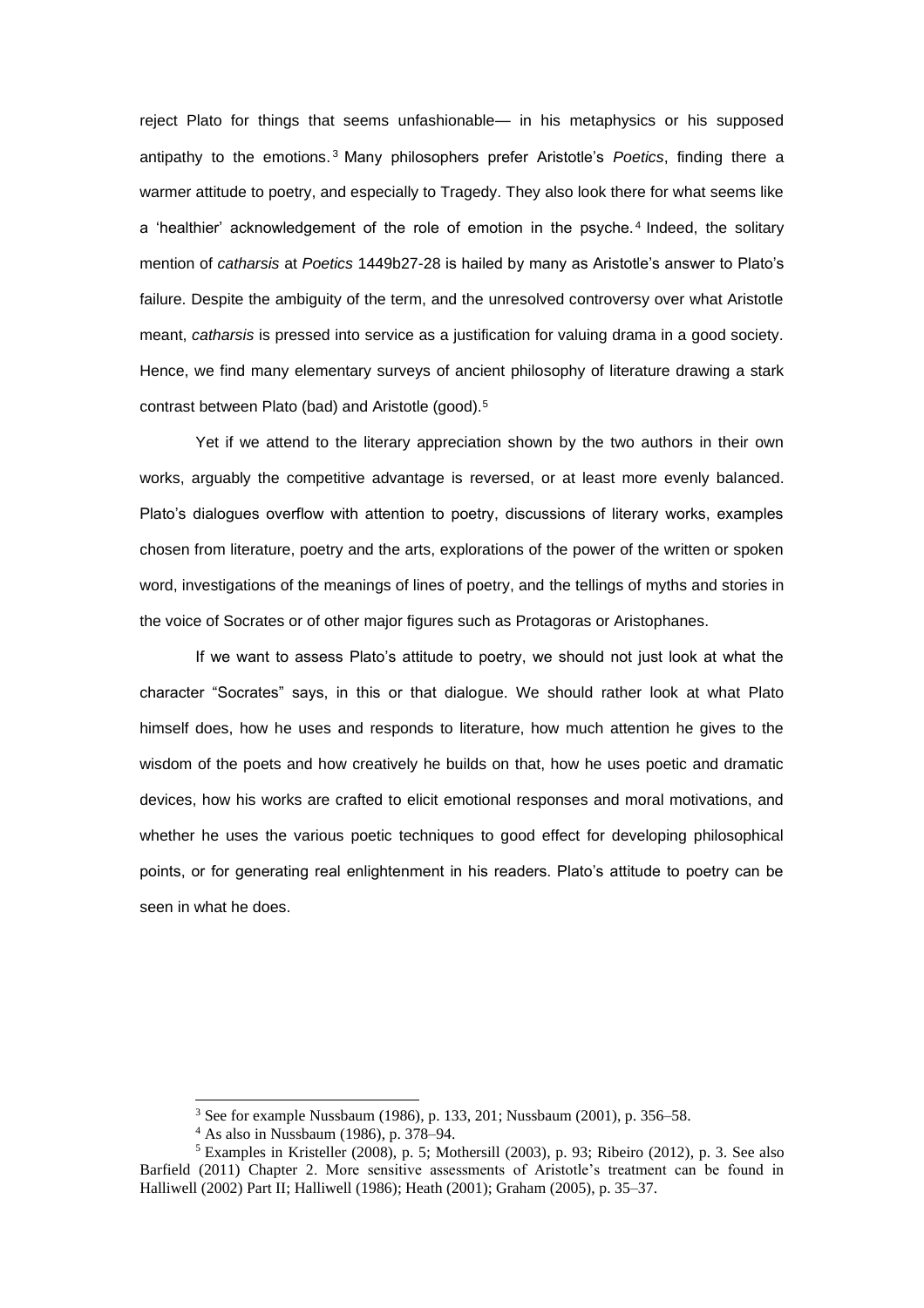reject Plato for things that seems unfashionable— in his metaphysics or his supposed antipathy to the emotions. <sup>3</sup> Many philosophers prefer Aristotle's *Poetics*, finding there a warmer attitude to poetry, and especially to Tragedy. They also look there for what seems like a 'healthier' acknowledgement of the role of emotion in the psyche. <sup>4</sup> Indeed, the solitary mention of *catharsis* at *Poetics* 1449b27-28 is hailed by many as Aristotle's answer to Plato's failure. Despite the ambiguity of the term, and the unresolved controversy over what Aristotle meant, *catharsis* is pressed into service as a justification for valuing drama in a good society. Hence, we find many elementary surveys of ancient philosophy of literature drawing a stark contrast between Plato (bad) and Aristotle (good).<sup>5</sup>

<span id="page-1-0"></span>Yet if we attend to the literary appreciation shown by the two authors in their own works, arguably the competitive advantage is reversed, or at least more evenly balanced. Plato's dialogues overflow with attention to poetry, discussions of literary works, examples chosen from literature, poetry and the arts, explorations of the power of the written or spoken word, investigations of the meanings of lines of poetry, and the tellings of myths and stories in the voice of Socrates or of other major figures such as Protagoras or Aristophanes.

If we want to assess Plato's attitude to poetry, we should not just look at what the character "Socrates" says, in this or that dialogue. We should rather look at what Plato himself does, how he uses and responds to literature, how much attention he gives to the wisdom of the poets and how creatively he builds on that, how he uses poetic and dramatic devices, how his works are crafted to elicit emotional responses and moral motivations, and whether he uses the various poetic techniques to good effect for developing philosophical points, or for generating real enlightenment in his readers. Plato's attitude to poetry can be seen in what he does.

<sup>3</sup> See for example [Nussbaum \(1986\),](#page-23-1) p. 133, 201; [Nussbaum \(2001\),](#page-23-2) p. 356–58.

<sup>4</sup> As also in [Nussbaum \(1986\),](#page-23-1) p. 378–94.

<sup>5</sup> Examples in [Kristeller \(2008\),](#page-22-4) p. 5; [Mothersill \(2003\),](#page-23-3) p. 93; [Ribeiro \(2012\),](#page-24-1) p. 3. See also [Barfield \(2011\) Chapter 2.](#page-22-5) More sensitive assessments of Aristotle's treatment can be found in [Halliwell \(2002\) Part II;](#page-22-0) [Halliwell \(1986\);](#page-22-6) [Heath \(2001\);](#page-22-7) [Graham \(2005\),](#page-22-8) p. 35–37.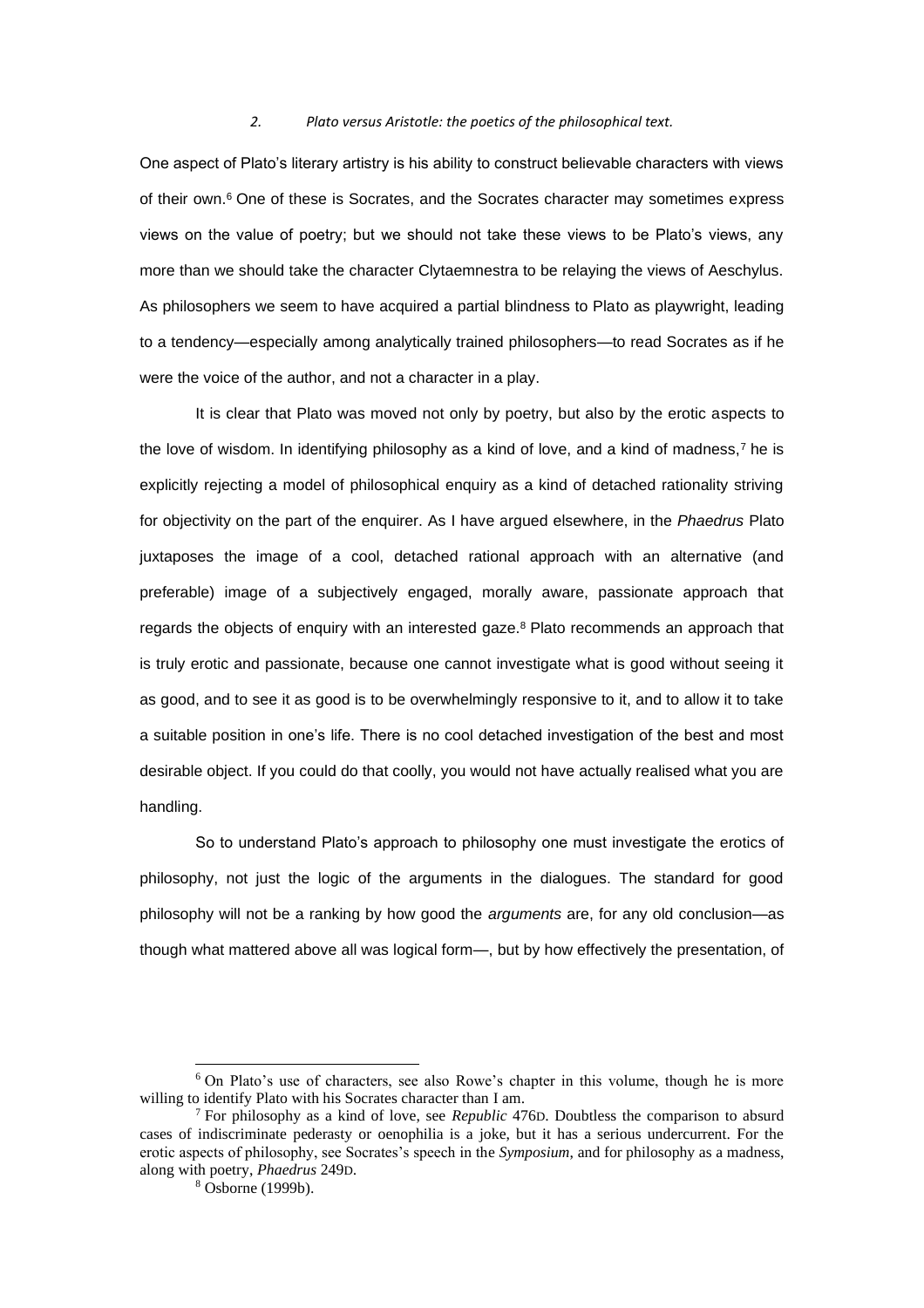#### *2. Plato versus Aristotle: the poetics of the philosophical text.*

One aspect of Plato's literary artistry is his ability to construct believable characters with views of their own.<sup>6</sup> One of these is Socrates, and the Socrates character may sometimes express views on the value of poetry; but we should not take these views to be Plato's views, any more than we should take the character Clytaemnestra to be relaying the views of Aeschylus. As philosophers we seem to have acquired a partial blindness to Plato as playwright, leading to a tendency—especially among analytically trained philosophers—to read Socrates as if he were the voice of the author, and not a character in a play.

It is clear that Plato was moved not only by poetry, but also by the erotic aspects to the love of wisdom. In identifying philosophy as a kind of love, and a kind of madness,<sup>7</sup> he is explicitly rejecting a model of philosophical enquiry as a kind of detached rationality striving for objectivity on the part of the enquirer. As I have argued elsewhere, in the *Phaedrus* Plato juxtaposes the image of a cool, detached rational approach with an alternative (and preferable) image of a subjectively engaged, morally aware, passionate approach that regards the objects of enquiry with an interested gaze.<sup>8</sup> Plato recommends an approach that is truly erotic and passionate, because one cannot investigate what is good without seeing it as good, and to see it as good is to be overwhelmingly responsive to it, and to allow it to take a suitable position in one's life. There is no cool detached investigation of the best and most desirable object. If you could do that coolly, you would not have actually realised what you are handling.

So to understand Plato's approach to philosophy one must investigate the erotics of philosophy, not just the logic of the arguments in the dialogues. The standard for good philosophy will not be a ranking by how good the *arguments* are, for any old conclusion—as though what mattered above all was logical form—, but by how effectively the presentation, of

<sup>6</sup> On Plato's use of characters, see also Rowe's chapter in this volume, though he is more willing to identify Plato with his Socrates character than I am.

<sup>7</sup> For philosophy as a kind of love, see *Republic* 476D. Doubtless the comparison to absurd cases of indiscriminate pederasty or oenophilia is a joke, but it has a serious undercurrent. For the erotic aspects of philosophy, see Socrates's speech in the *Symposium*, and for philosophy as a madness, along with poetry, *Phaedrus* 249D.

<sup>8</sup> [Osborne \(1999b\).](#page-23-4)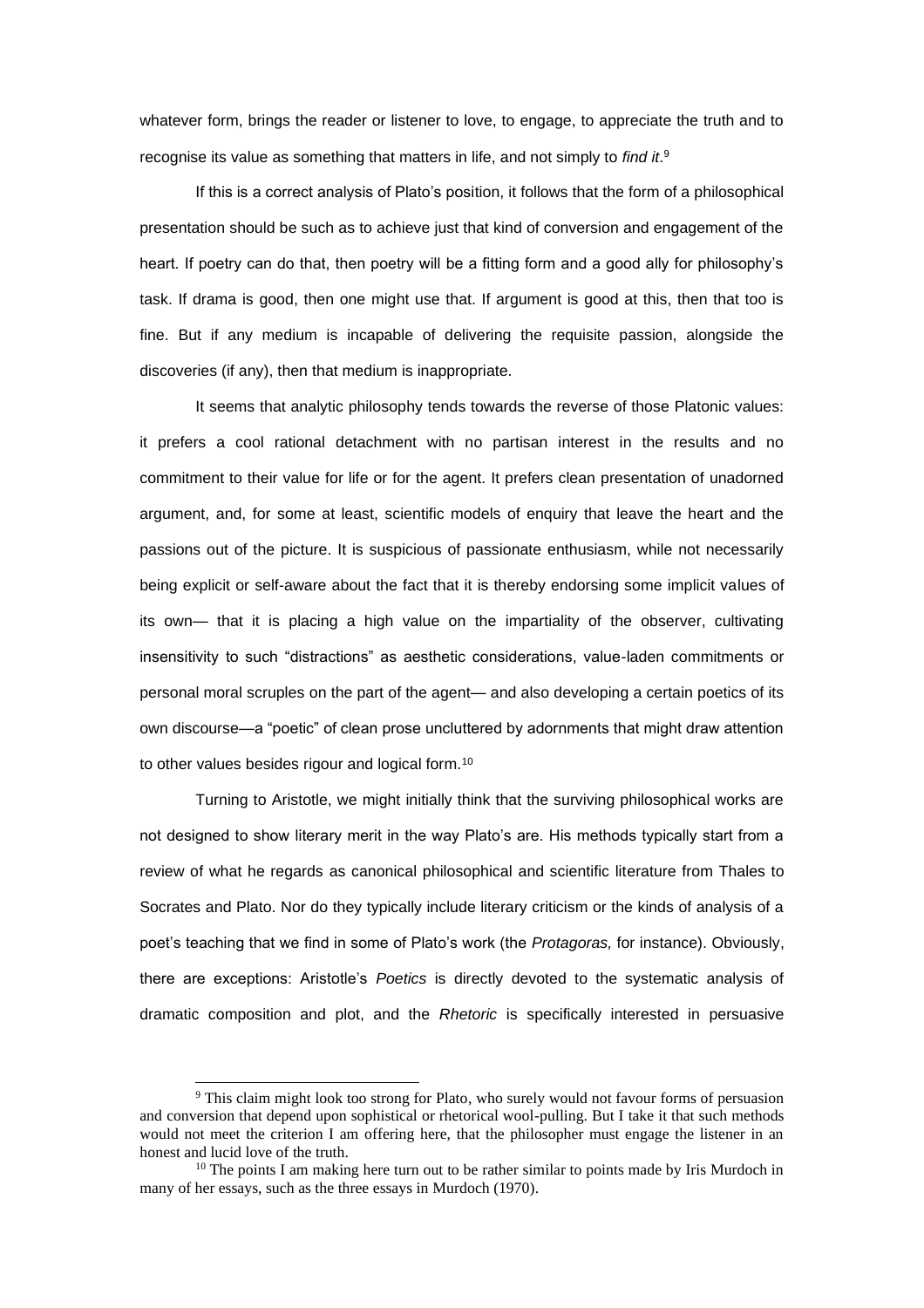whatever form, brings the reader or listener to love, to engage, to appreciate the truth and to recognise its value as something that matters in life, and not simply to *find it*. 9

If this is a correct analysis of Plato's position, it follows that the form of a philosophical presentation should be such as to achieve just that kind of conversion and engagement of the heart. If poetry can do that, then poetry will be a fitting form and a good ally for philosophy's task. If drama is good, then one might use that. If argument is good at this, then that too is fine. But if any medium is incapable of delivering the requisite passion, alongside the discoveries (if any), then that medium is inappropriate.

It seems that analytic philosophy tends towards the reverse of those Platonic values: it prefers a cool rational detachment with no partisan interest in the results and no commitment to their value for life or for the agent. It prefers clean presentation of unadorned argument, and, for some at least, scientific models of enquiry that leave the heart and the passions out of the picture. It is suspicious of passionate enthusiasm, while not necessarily being explicit or self-aware about the fact that it is thereby endorsing some implicit values of its own— that it is placing a high value on the impartiality of the observer, cultivating insensitivity to such "distractions" as aesthetic considerations, value-laden commitments or personal moral scruples on the part of the agent— and also developing a certain poetics of its own discourse—a "poetic" of clean prose uncluttered by adornments that might draw attention to other values besides rigour and logical form.<sup>10</sup>

Turning to Aristotle, we might initially think that the surviving philosophical works are not designed to show literary merit in the way Plato's are. His methods typically start from a review of what he regards as canonical philosophical and scientific literature from Thales to Socrates and Plato. Nor do they typically include literary criticism or the kinds of analysis of a poet's teaching that we find in some of Plato's work (the *Protagoras,* for instance). Obviously, there are exceptions: Aristotle's *Poetics* is directly devoted to the systematic analysis of dramatic composition and plot, and the *Rhetoric* is specifically interested in persuasive

<sup>9</sup> This claim might look too strong for Plato, who surely would not favour forms of persuasion and conversion that depend upon sophistical or rhetorical wool-pulling. But I take it that such methods would not meet the criterion I am offering here, that the philosopher must engage the listener in an honest and lucid love of the truth.

 $10$  The points I am making here turn out to be rather similar to points made by Iris Murdoch in many of her essays, such as the three essays in [Murdoch \(1970\).](#page-23-5)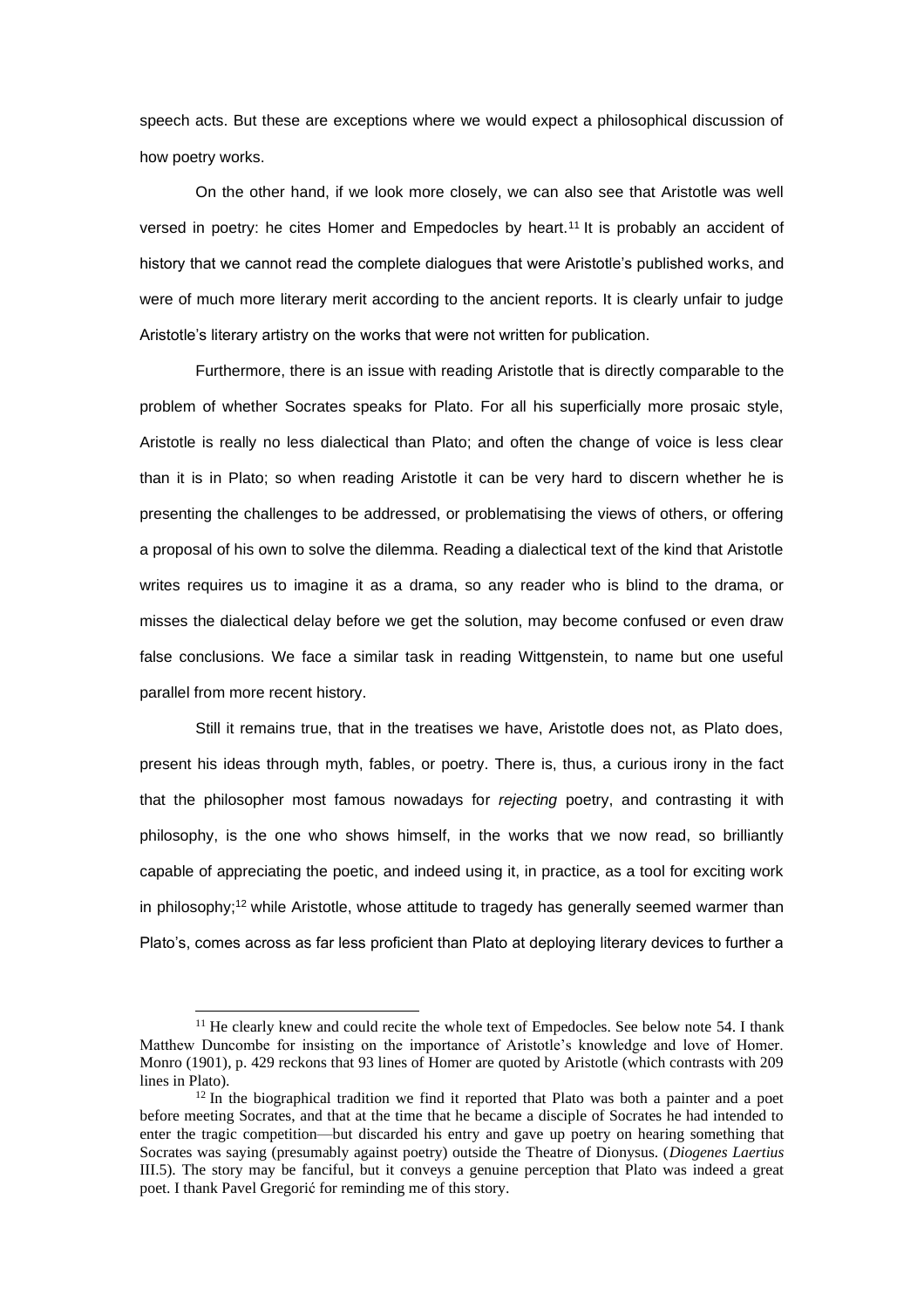speech acts. But these are exceptions where we would expect a philosophical discussion of how poetry works.

On the other hand, if we look more closely, we can also see that Aristotle was well versed in poetry: he cites Homer and Empedocles by heart.<sup>11</sup> It is probably an accident of history that we cannot read the complete dialogues that were Aristotle's published works, and were of much more literary merit according to the ancient reports. It is clearly unfair to judge Aristotle's literary artistry on the works that were not written for publication.

Furthermore, there is an issue with reading Aristotle that is directly comparable to the problem of whether Socrates speaks for Plato. For all his superficially more prosaic style, Aristotle is really no less dialectical than Plato; and often the change of voice is less clear than it is in Plato; so when reading Aristotle it can be very hard to discern whether he is presenting the challenges to be addressed, or problematising the views of others, or offering a proposal of his own to solve the dilemma. Reading a dialectical text of the kind that Aristotle writes requires us to imagine it as a drama, so any reader who is blind to the drama, or misses the dialectical delay before we get the solution, may become confused or even draw false conclusions. We face a similar task in reading Wittgenstein, to name but one useful parallel from more recent history.

Still it remains true, that in the treatises we have, Aristotle does not, as Plato does, present his ideas through myth, fables, or poetry. There is, thus, a curious irony in the fact that the philosopher most famous nowadays for *rejecting* poetry, and contrasting it with philosophy, is the one who shows himself, in the works that we now read, so brilliantly capable of appreciating the poetic, and indeed using it, in practice, as a tool for exciting work in philosophy;<sup>12</sup> while Aristotle, whose attitude to tragedy has generally seemed warmer than Plato's, comes across as far less proficient than Plato at deploying literary devices to further a

<sup>&</sup>lt;sup>11</sup> He clearly knew and could recite the whole text of Empedocles. See below note [54.](#page-16-0) I thank Matthew Duncombe for insisting on the importance of Aristotle's knowledge and love of Homer. [Monro \(1901\),](#page-22-9) p. 429 reckons that 93 lines of Homer are quoted by Aristotle (which contrasts with 209 lines in Plato).

<sup>&</sup>lt;sup>12</sup> In the biographical tradition we find it reported that Plato was both a painter and a poet before meeting Socrates, and that at the time that he became a disciple of Socrates he had intended to enter the tragic competition—but discarded his entry and gave up poetry on hearing something that Socrates was saying (presumably against poetry) outside the Theatre of Dionysus. (*Diogenes Laertius* III.5). The story may be fanciful, but it conveys a genuine perception that Plato was indeed a great poet. I thank Pavel Gregorić for reminding me of this story.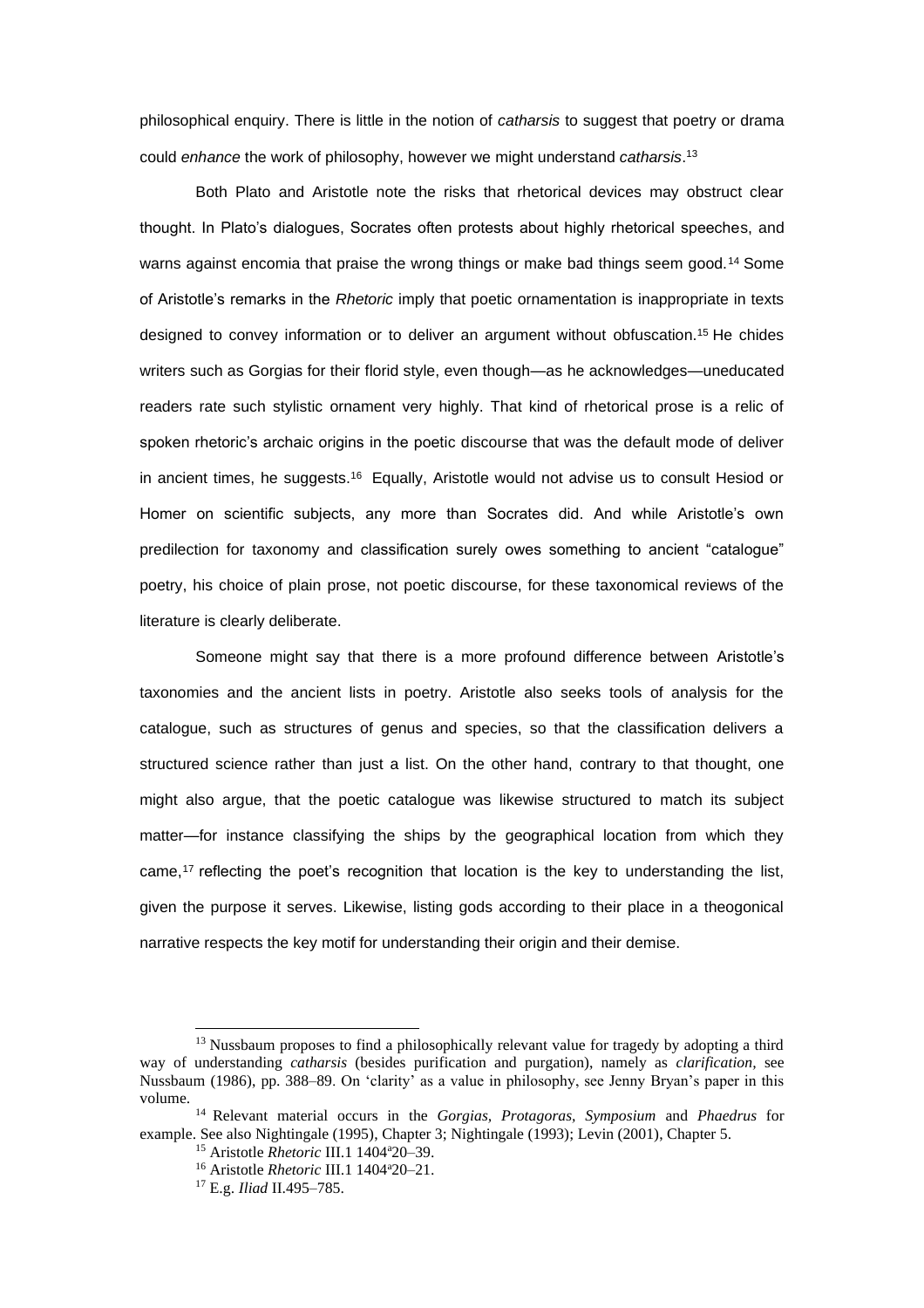philosophical enquiry. There is little in the notion of *catharsis* to suggest that poetry or drama could *enhance* the work of philosophy, however we might understand *catharsis*. 13

Both Plato and Aristotle note the risks that rhetorical devices may obstruct clear thought. In Plato's dialogues, Socrates often protests about highly rhetorical speeches, and warns against encomia that praise the wrong things or make bad things seem good.<sup>14</sup> Some of Aristotle's remarks in the *Rhetoric* imply that poetic ornamentation is inappropriate in texts designed to convey information or to deliver an argument without obfuscation.<sup>15</sup> He chides writers such as Gorgias for their florid style, even though—as he acknowledges—uneducated readers rate such stylistic ornament very highly. That kind of rhetorical prose is a relic of spoken rhetoric's archaic origins in the poetic discourse that was the default mode of deliver in ancient times, he suggests.<sup>16</sup> Equally, Aristotle would not advise us to consult Hesiod or Homer on scientific subjects, any more than Socrates did. And while Aristotle's own predilection for taxonomy and classification surely owes something to ancient "catalogue" poetry, his choice of plain prose, not poetic discourse, for these taxonomical reviews of the literature is clearly deliberate.

Someone might say that there is a more profound difference between Aristotle's taxonomies and the ancient lists in poetry. Aristotle also seeks tools of analysis for the catalogue, such as structures of genus and species, so that the classification delivers a structured science rather than just a list. On the other hand, contrary to that thought, one might also argue, that the poetic catalogue was likewise structured to match its subject matter—for instance classifying the ships by the geographical location from which they came,<sup>17</sup> reflecting the poet's recognition that location is the key to understanding the list, given the purpose it serves. Likewise, listing gods according to their place in a theogonical narrative respects the key motif for understanding their origin and their demise.

<sup>&</sup>lt;sup>13</sup> Nussbaum proposes to find a philosophically relevant value for tragedy by adopting a third way of understanding *catharsis* (besides purification and purgation), namely as *clarification,* see [Nussbaum \(1986\),](#page-23-1) pp. 388–89. On 'clarity' as a value in philosophy, see Jenny Bryan's paper in this volume.

<sup>14</sup> Relevant material occurs in the *Gorgias, Protagoras, Symposium* and *Phaedrus* for example. See also [Nightingale \(1995\),](#page-23-6) Chapter 3; [Nightingale \(1993\);](#page-23-7) [Levin \(2001\),](#page-22-2) Chapter 5.

<sup>15</sup> Aristotle *Rhetoric* III.1 1404<sup>a</sup>20–39.

<sup>&</sup>lt;sup>16</sup> Aristotle *Rhetoric* III.1 1404<sup>a</sup>20-21.

<sup>17</sup> E.g. *Iliad* II.495–785.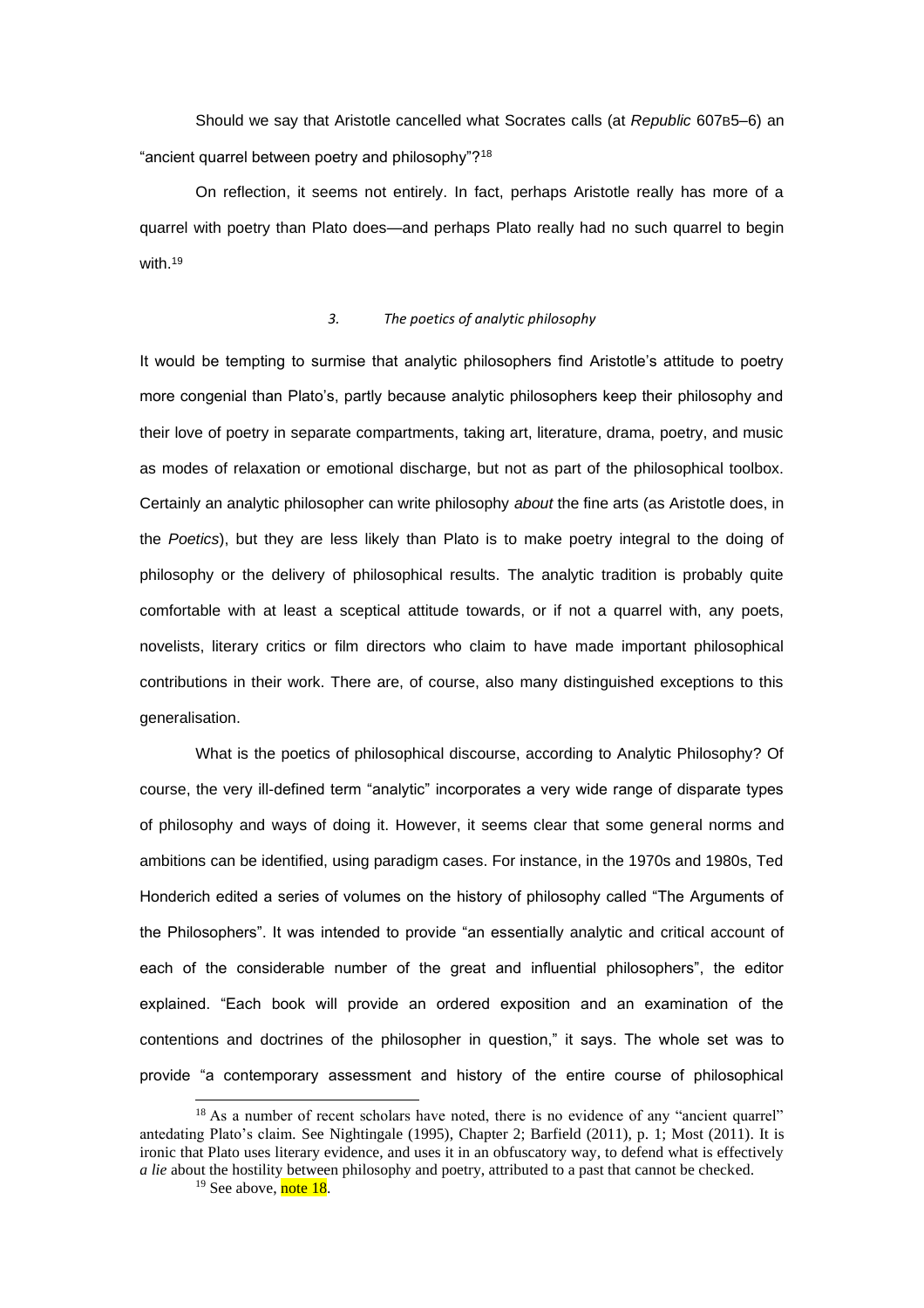Should we say that Aristotle cancelled what Socrates calls (at *Republic* 607B5–6) an "ancient quarrel between poetry and philosophy"?<sup>18</sup>

On reflection, it seems not entirely. In fact, perhaps Aristotle really has more of a quarrel with poetry than Plato does—and perhaps Plato really had no such quarrel to begin with.<sup>19</sup>

#### <span id="page-6-0"></span>*3. The poetics of analytic philosophy*

It would be tempting to surmise that analytic philosophers find Aristotle's attitude to poetry more congenial than Plato's, partly because analytic philosophers keep their philosophy and their love of poetry in separate compartments, taking art, literature, drama, poetry, and music as modes of relaxation or emotional discharge, but not as part of the philosophical toolbox. Certainly an analytic philosopher can write philosophy *about* the fine arts (as Aristotle does, in the *Poetics*), but they are less likely than Plato is to make poetry integral to the doing of philosophy or the delivery of philosophical results. The analytic tradition is probably quite comfortable with at least a sceptical attitude towards, or if not a quarrel with, any poets, novelists, literary critics or film directors who claim to have made important philosophical contributions in their work. There are, of course, also many distinguished exceptions to this generalisation.

What is the poetics of philosophical discourse, according to Analytic Philosophy? Of course, the very ill-defined term "analytic" incorporates a very wide range of disparate types of philosophy and ways of doing it. However, it seems clear that some general norms and ambitions can be identified, using paradigm cases. For instance, in the 1970s and 1980s, Ted Honderich edited a series of volumes on the history of philosophy called "The Arguments of the Philosophers". It was intended to provide "an essentially analytic and critical account of each of the considerable number of the great and influential philosophers", the editor explained. "Each book will provide an ordered exposition and an examination of the contentions and doctrines of the philosopher in question," it says. The whole set was to provide "a contemporary assessment and history of the entire course of philosophical

<sup>&</sup>lt;sup>18</sup> As a number of recent scholars have noted, there is no evidence of any "ancient quarrel" antedating Plato's claim*.* See [Nightingale \(1995\),](#page-23-6) Chapter 2; [Barfield \(2011\),](#page-22-5) p. 1; [Most \(2011\).](#page-23-8) It is ironic that Plato uses literary evidence, and uses it in an obfuscatory way, to defend what is effectively *a lie* about the hostility between philosophy and poetry, attributed to a past that cannot be checked.

 $19$  See above, not[e 18.](#page-6-0)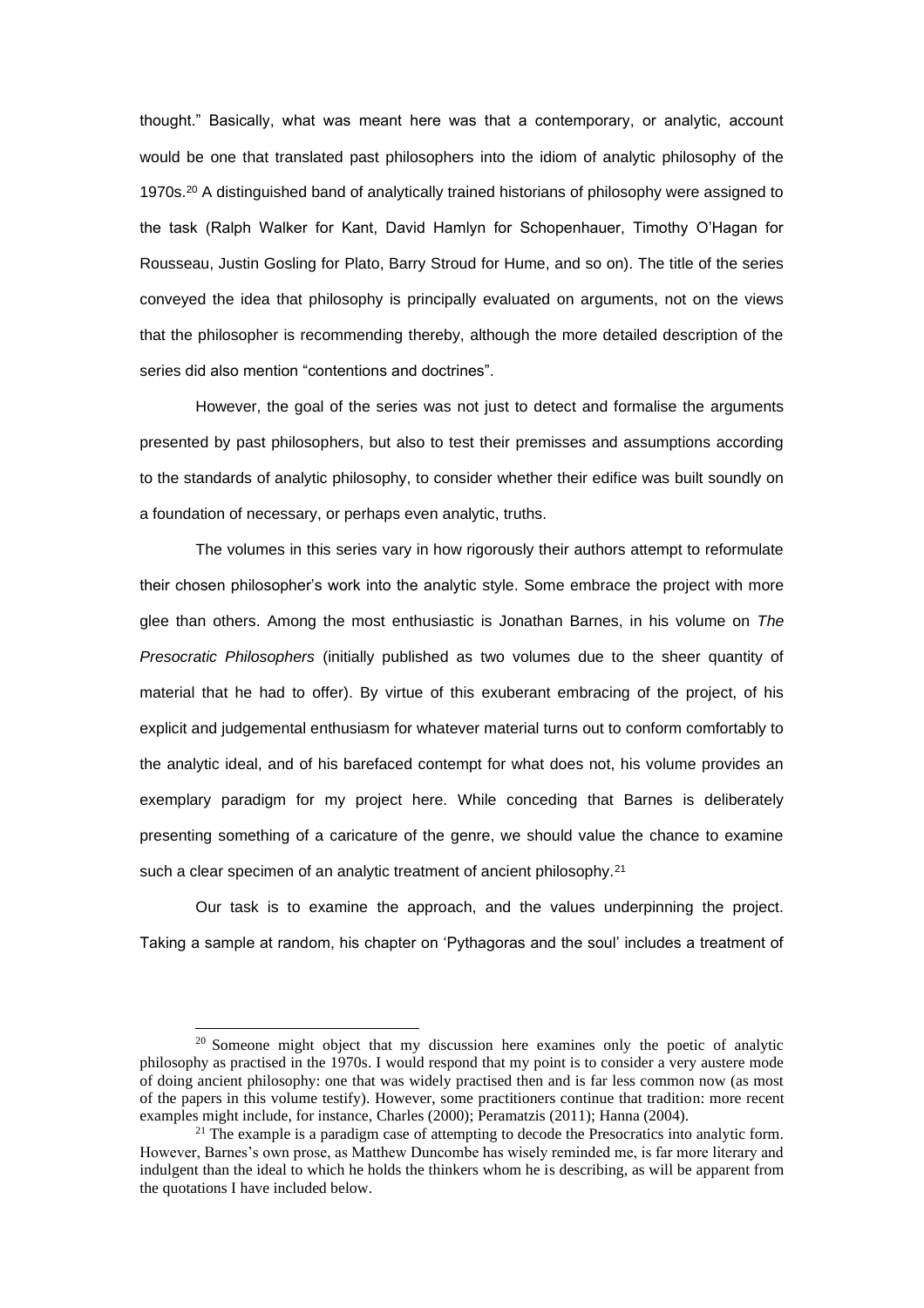thought." Basically, what was meant here was that a contemporary, or analytic, account would be one that translated past philosophers into the idiom of analytic philosophy of the 1970s.<sup>20</sup> A distinguished band of analytically trained historians of philosophy were assigned to the task (Ralph Walker for Kant, David Hamlyn for Schopenhauer, Timothy O'Hagan for Rousseau, Justin Gosling for Plato, Barry Stroud for Hume, and so on). The title of the series conveyed the idea that philosophy is principally evaluated on arguments, not on the views that the philosopher is recommending thereby, although the more detailed description of the series did also mention "contentions and doctrines".

However, the goal of the series was not just to detect and formalise the arguments presented by past philosophers, but also to test their premisses and assumptions according to the standards of analytic philosophy, to consider whether their edifice was built soundly on a foundation of necessary, or perhaps even analytic, truths.

The volumes in this series vary in how rigorously their authors attempt to reformulate their chosen philosopher's work into the analytic style. Some embrace the project with more glee than others. Among the most enthusiastic is Jonathan Barnes, in his volume on *The Presocratic Philosophers* (initially published as two volumes due to the sheer quantity of material that he had to offer). By virtue of this exuberant embracing of the project, of his explicit and judgemental enthusiasm for whatever material turns out to conform comfortably to the analytic ideal, and of his barefaced contempt for what does not, his volume provides an exemplary paradigm for my project here. While conceding that Barnes is deliberately presenting something of a caricature of the genre, we should value the chance to examine such a clear specimen of an analytic treatment of ancient philosophy.<sup>21</sup>

Our task is to examine the approach, and the values underpinning the project. Taking a sample at random, his chapter on 'Pythagoras and the soul' includes a treatment of

<sup>&</sup>lt;sup>20</sup> Someone might object that my discussion here examines only the poetic of analytic philosophy as practised in the 1970s. I would respond that my point is to consider a very austere mode of doing ancient philosophy: one that was widely practised then and is far less common now (as most of the papers in this volume testify). However, some practitioners continue that tradition: more recent examples might include, for instance, [Charles \(2000\);](#page-22-10) [Peramatzis \(2011\);](#page-23-9) [Hanna \(2004\).](#page-22-11)

<sup>&</sup>lt;sup>21</sup> The example is a paradigm case of attempting to decode the Presocratics into analytic form. However, Barnes's own prose, as Matthew Duncombe has wisely reminded me, is far more literary and indulgent than the ideal to which he holds the thinkers whom he is describing, as will be apparent from the quotations I have included below.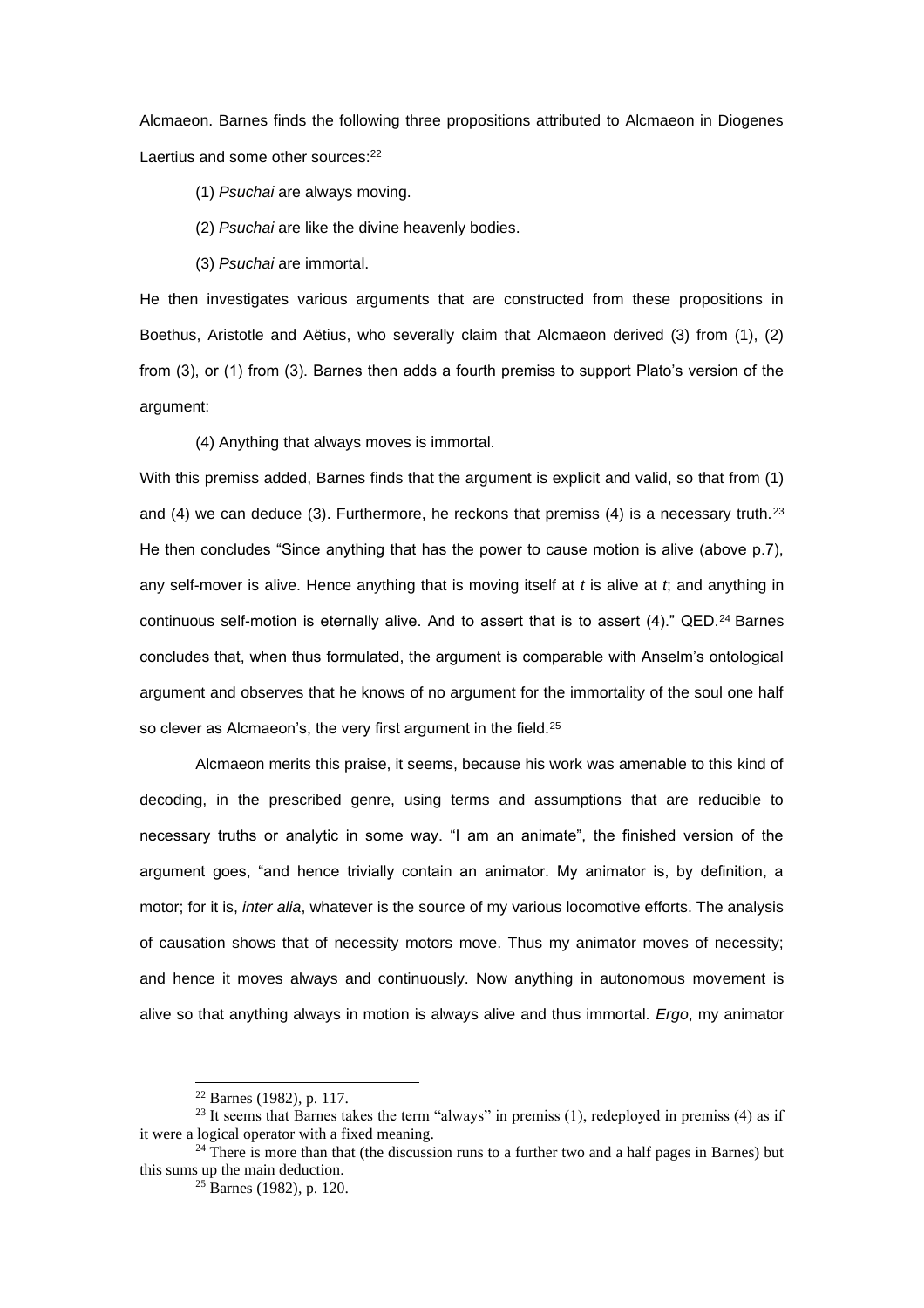Alcmaeon. Barnes finds the following three propositions attributed to Alcmaeon in Diogenes Laertius and some other sources:<sup>22</sup>

(1) *Psuchai* are always moving.

- (2) *Psuchai* are like the divine heavenly bodies.
- (3) *Psuchai* are immortal.

He then investigates various arguments that are constructed from these propositions in Boethus, Aristotle and Aëtius, who severally claim that Alcmaeon derived (3) from (1), (2) from (3), or (1) from (3). Barnes then adds a fourth premiss to support Plato's version of the argument:

(4) Anything that always moves is immortal.

With this premiss added, Barnes finds that the argument is explicit and valid, so that from (1) and (4) we can deduce (3). Furthermore, he reckons that premiss (4) is a necessary truth.<sup>23</sup> He then concludes "Since anything that has the power to cause motion is alive (above p.7), any self-mover is alive. Hence anything that is moving itself at *t* is alive at *t*; and anything in continuous self-motion is eternally alive. And to assert that is to assert (4)." QED.<sup>24</sup> Barnes concludes that, when thus formulated, the argument is comparable with Anselm's ontological argument and observes that he knows of no argument for the immortality of the soul one half so clever as Alcmaeon's, the very first argument in the field.<sup>25</sup>

Alcmaeon merits this praise, it seems, because his work was amenable to this kind of decoding, in the prescribed genre, using terms and assumptions that are reducible to necessary truths or analytic in some way. "I am an animate", the finished version of the argument goes, "and hence trivially contain an animator. My animator is, by definition, a motor; for it is, *inter alia*, whatever is the source of my various locomotive efforts. The analysis of causation shows that of necessity motors move. Thus my animator moves of necessity; and hence it moves always and continuously. Now anything in autonomous movement is alive so that anything always in motion is always alive and thus immortal. *Ergo*, my animator

<sup>22</sup> [Barnes \(1982\),](#page-22-12) p. 117.

 $23$  It seems that Barnes takes the term "always" in premiss (1), redeployed in premiss (4) as if it were a logical operator with a fixed meaning.

 $24$  There is more than that (the discussion runs to a further two and a half pages in Barnes) but this sums up the main deduction.

 $25$  [Barnes \(1982\),](#page-22-12) p. 120.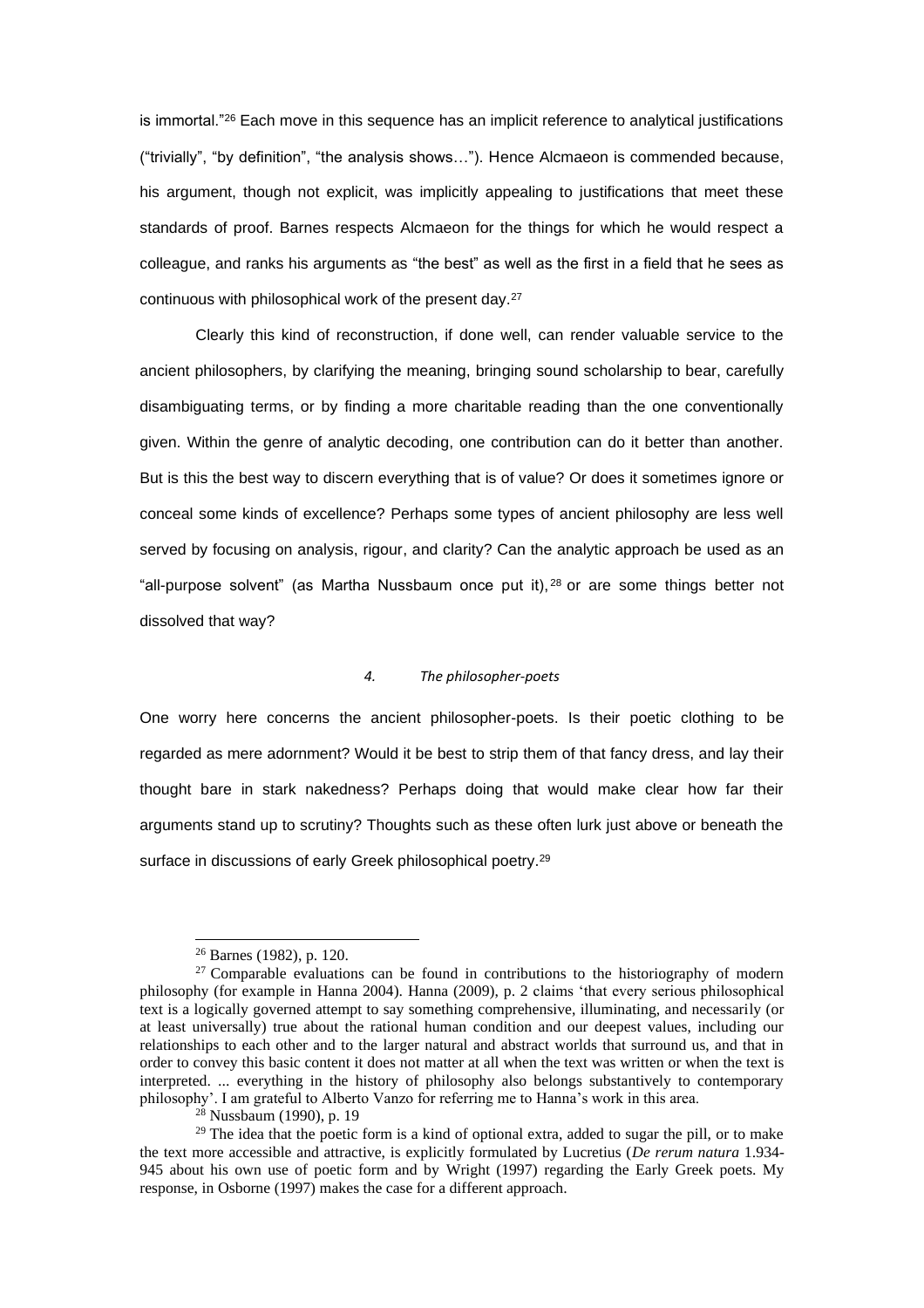is immortal."<sup>26</sup> Each move in this sequence has an implicit reference to analytical justifications ("trivially", "by definition", "the analysis shows…"). Hence Alcmaeon is commended because, his argument, though not explicit, was implicitly appealing to justifications that meet these standards of proof. Barnes respects Alcmaeon for the things for which he would respect a colleague, and ranks his arguments as "the best" as well as the first in a field that he sees as continuous with philosophical work of the present day.<sup>27</sup>

Clearly this kind of reconstruction, if done well, can render valuable service to the ancient philosophers, by clarifying the meaning, bringing sound scholarship to bear, carefully disambiguating terms, or by finding a more charitable reading than the one conventionally given. Within the genre of analytic decoding, one contribution can do it better than another. But is this the best way to discern everything that is of value? Or does it sometimes ignore or conceal some kinds of excellence? Perhaps some types of ancient philosophy are less well served by focusing on analysis, rigour, and clarity? Can the analytic approach be used as an "all-purpose solvent" (as Martha Nussbaum once put it), <sup>28</sup> or are some things better not dissolved that way?

### *4. The philosopher-poets*

One worry here concerns the ancient philosopher-poets. Is their poetic clothing to be regarded as mere adornment? Would it be best to strip them of that fancy dress, and lay their thought bare in stark nakedness? Perhaps doing that would make clear how far their arguments stand up to scrutiny? Thoughts such as these often lurk just above or beneath the surface in discussions of early Greek philosophical poetry.<sup>29</sup>

 $26$  [Barnes \(1982\),](#page-22-12) p. 120.

<sup>&</sup>lt;sup>27</sup> Comparable evaluations can be found in contributions to the historiography of modern philosophy (for example in [Hanna 2004\)](#page-22-11). [Hanna \(2009\),](#page-22-13) p. 2 claims 'that every serious philosophical text is a logically governed attempt to say something comprehensive, illuminating, and necessarily (or at least universally) true about the rational human condition and our deepest values, including our relationships to each other and to the larger natural and abstract worlds that surround us, and that in order to convey this basic content it does not matter at all when the text was written or when the text is interpreted. ... everything in the history of philosophy also belongs substantively to contemporary philosophy'. I am grateful to Alberto Vanzo for referring me to Hanna's work in this area.

 $^{28}$  [Nussbaum \(1990\),](#page-23-10) p. 19

<sup>&</sup>lt;sup>29</sup> The idea that the poetic form is a kind of optional extra, added to sugar the pill, or to make the text more accessible and attractive, is explicitly formulated by Lucretius (*De rerum natura* 1.934- 945 about his own use of poetic form and by [Wright \(1997\)](#page-24-2) regarding the Early Greek poets. My response, in [Osborne \(1997\)](#page-23-11) makes the case for a different approach.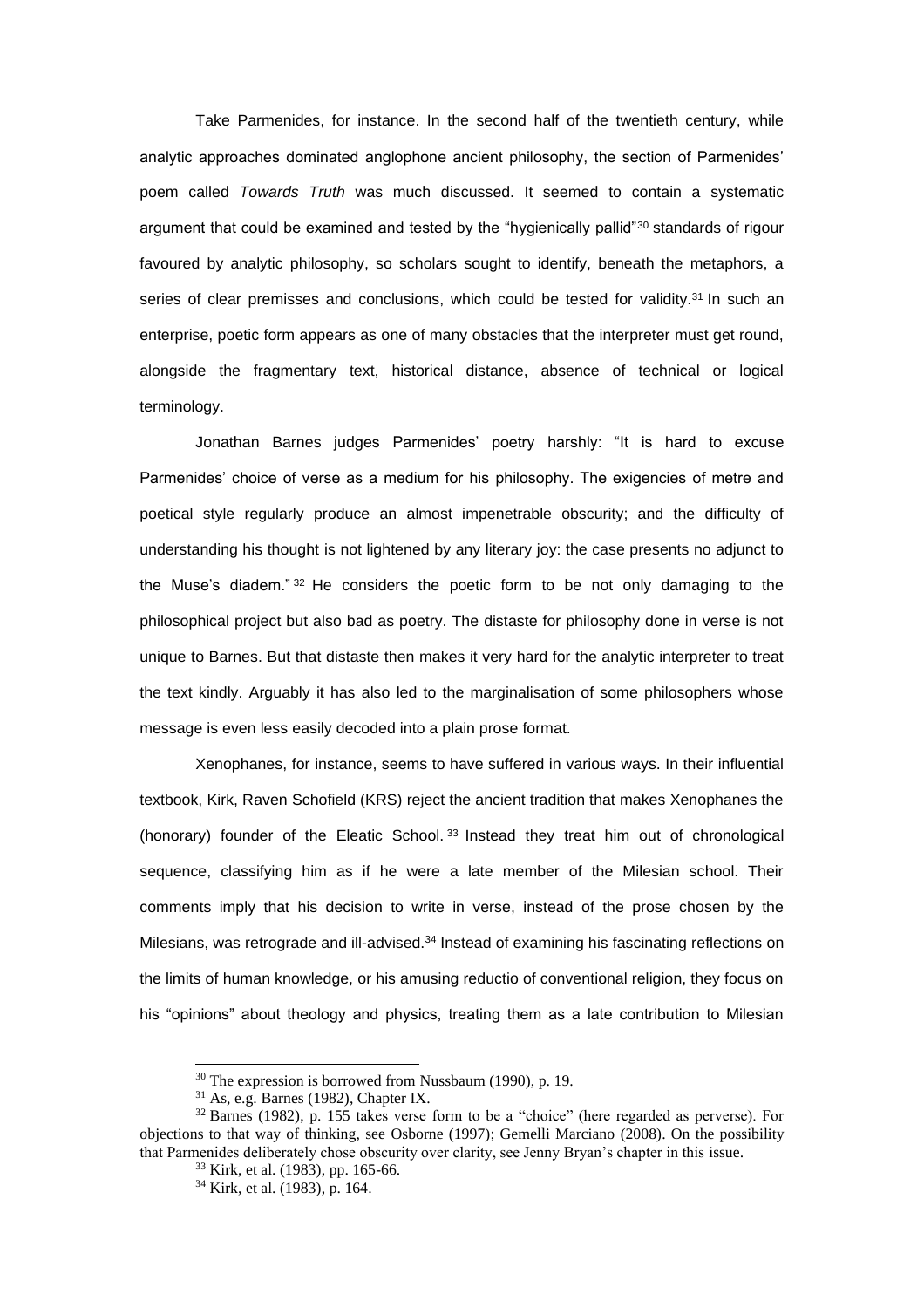Take Parmenides, for instance. In the second half of the twentieth century, while analytic approaches dominated anglophone ancient philosophy, the section of Parmenides' poem called *Towards Truth* was much discussed. It seemed to contain a systematic argument that could be examined and tested by the "hygienically pallid"<sup>30</sup> standards of rigour favoured by analytic philosophy, so scholars sought to identify, beneath the metaphors, a series of clear premisses and conclusions, which could be tested for validity.<sup>31</sup> In such an enterprise, poetic form appears as one of many obstacles that the interpreter must get round, alongside the fragmentary text, historical distance, absence of technical or logical terminology.

Jonathan Barnes judges Parmenides' poetry harshly: "It is hard to excuse Parmenides' choice of verse as a medium for his philosophy. The exigencies of metre and poetical style regularly produce an almost impenetrable obscurity; and the difficulty of understanding his thought is not lightened by any literary joy: the case presents no adjunct to the Muse's diadem." <sup>32</sup> He considers the poetic form to be not only damaging to the philosophical project but also bad as poetry. The distaste for philosophy done in verse is not unique to Barnes. But that distaste then makes it very hard for the analytic interpreter to treat the text kindly. Arguably it has also led to the marginalisation of some philosophers whose message is even less easily decoded into a plain prose format.

Xenophanes, for instance, seems to have suffered in various ways. In their influential textbook, Kirk, Raven Schofield (KRS) reject the ancient tradition that makes Xenophanes the (honorary) founder of the Eleatic School. <sup>33</sup> Instead they treat him out of chronological sequence, classifying him as if he were a late member of the Milesian school. Their comments imply that his decision to write in verse, instead of the prose chosen by the Milesians, was retrograde and ill-advised.<sup>34</sup> Instead of examining his fascinating reflections on the limits of human knowledge, or his amusing reductio of conventional religion, they focus on his "opinions" about theology and physics, treating them as a late contribution to Milesian

<sup>30</sup> The expression is borrowed from [Nussbaum \(1990\),](#page-23-10) p. 19.

 $31$  As, e.g. [Barnes \(1982\),](#page-22-12) Chapter IX.

<sup>32</sup> [Barnes \(1982\),](#page-22-12) p. 155 takes verse form to be a "choice" (here regarded as perverse). For objections to that way of thinking, see [Osborne \(1997\);](#page-23-11) [Gemelli Marciano](#page-22-14) (2008). On the possibility that Parmenides deliberately chose obscurity over clarity, see Jenny Bryan's chapter in this issue.

<sup>33</sup> [Kirk, et al. \(1983\),](#page-22-15) pp. 165-66.

<sup>34</sup> [Kirk, et al. \(1983\),](#page-22-15) p. 164.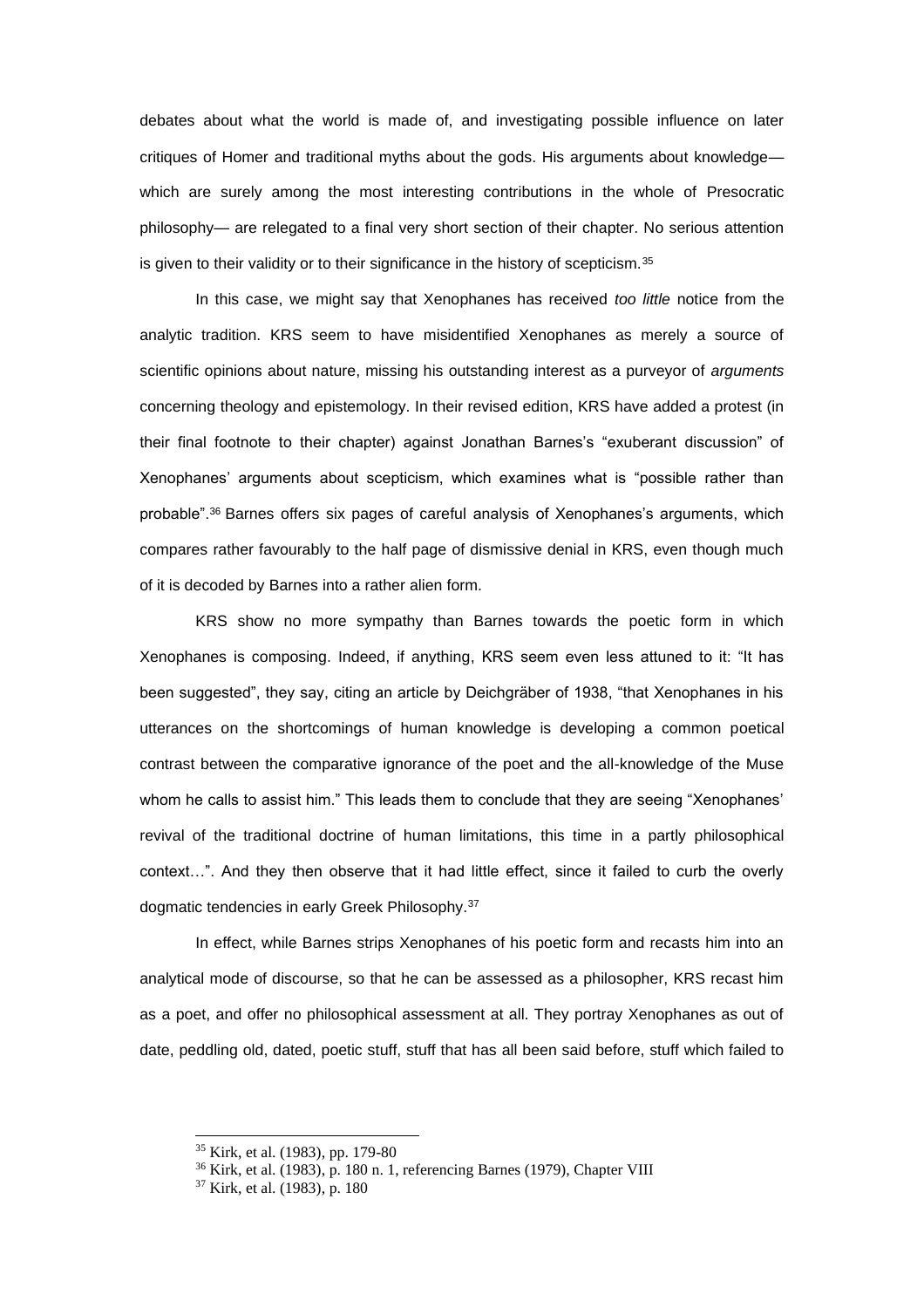debates about what the world is made of, and investigating possible influence on later critiques of Homer and traditional myths about the gods. His arguments about knowledge which are surely among the most interesting contributions in the whole of Presocratic philosophy— are relegated to a final very short section of their chapter. No serious attention is given to their validity or to their significance in the history of scepticism.<sup>35</sup>

In this case, we might say that Xenophanes has received *too little* notice from the analytic tradition. KRS seem to have misidentified Xenophanes as merely a source of scientific opinions about nature, missing his outstanding interest as a purveyor of *arguments*  concerning theology and epistemology. In their revised edition, KRS have added a protest (in their final footnote to their chapter) against Jonathan Barnes's "exuberant discussion" of Xenophanes' arguments about scepticism, which examines what is "possible rather than probable".<sup>36</sup> Barnes offers six pages of careful analysis of Xenophanes's arguments, which compares rather favourably to the half page of dismissive denial in KRS, even though much of it is decoded by Barnes into a rather alien form.

KRS show no more sympathy than Barnes towards the poetic form in which Xenophanes is composing. Indeed, if anything, KRS seem even less attuned to it: "It has been suggested", they say, citing an article by Deichgräber of 1938, "that Xenophanes in his utterances on the shortcomings of human knowledge is developing a common poetical contrast between the comparative ignorance of the poet and the all-knowledge of the Muse whom he calls to assist him." This leads them to conclude that they are seeing "Xenophanes' revival of the traditional doctrine of human limitations, this time in a partly philosophical context…". And they then observe that it had little effect, since it failed to curb the overly dogmatic tendencies in early Greek Philosophy.<sup>37</sup>

In effect, while Barnes strips Xenophanes of his poetic form and recasts him into an analytical mode of discourse, so that he can be assessed as a philosopher, KRS recast him as a poet, and offer no philosophical assessment at all. They portray Xenophanes as out of date, peddling old, dated, poetic stuff, stuff that has all been said before, stuff which failed to

<sup>35</sup> [Kirk, et al. \(1983\),](#page-22-15) pp. 179-80

<sup>36</sup> [Kirk, et al. \(1983\),](#page-22-15) p. 180 n. 1, referencin[g Barnes \(1979\),](#page-22-16) Chapter VIII

<sup>37</sup> [Kirk, et al. \(1983\),](#page-22-15) p. 180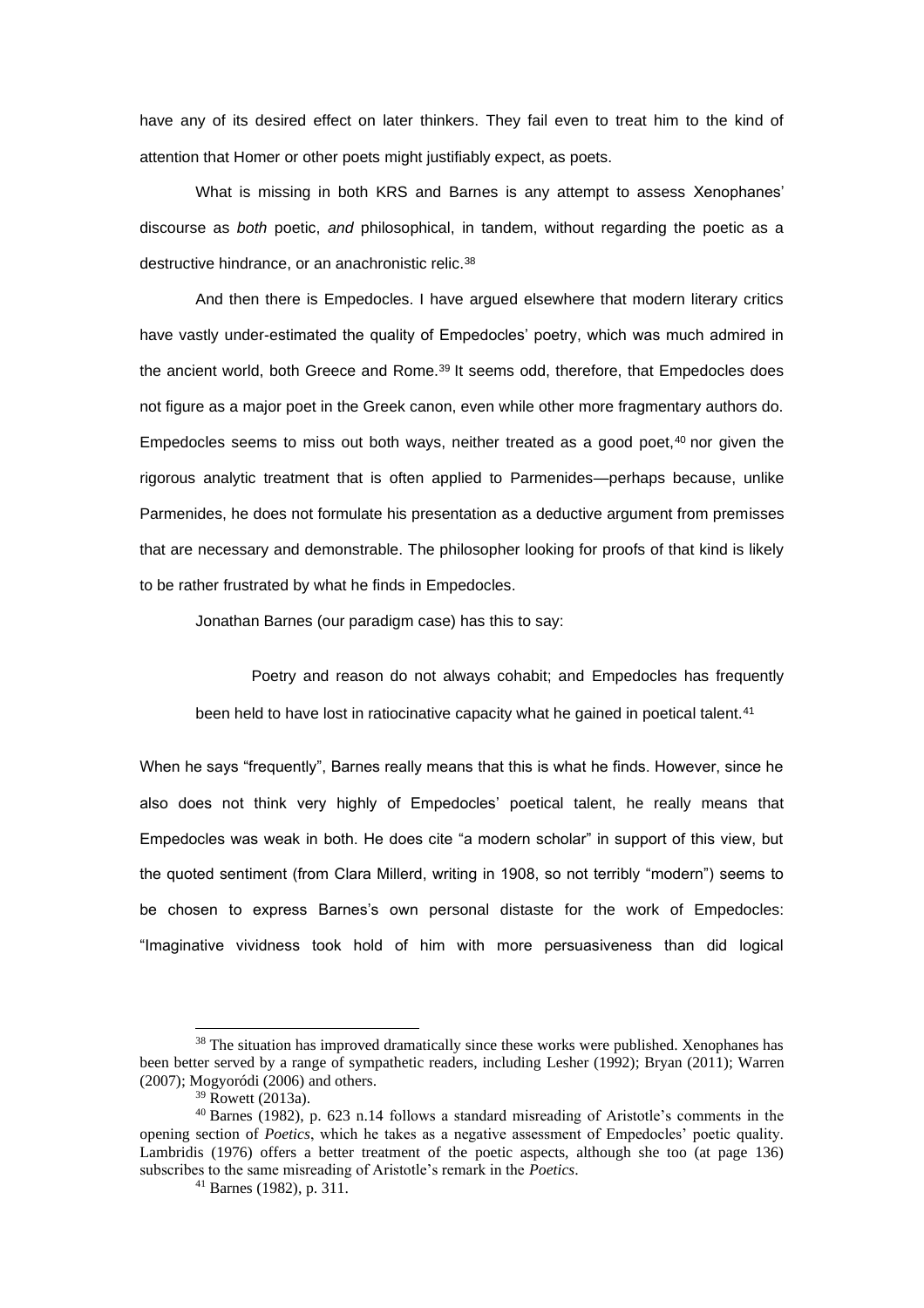have any of its desired effect on later thinkers. They fail even to treat him to the kind of attention that Homer or other poets might justifiably expect, as poets.

What is missing in both KRS and Barnes is any attempt to assess Xenophanes' discourse as *both* poetic, *and* philosophical, in tandem, without regarding the poetic as a destructive hindrance, or an anachronistic relic.<sup>38</sup>

And then there is Empedocles. I have argued elsewhere that modern literary critics have vastly under-estimated the quality of Empedocles' poetry, which was much admired in the ancient world, both Greece and Rome.<sup>39</sup> It seems odd, therefore, that Empedocles does not figure as a major poet in the Greek canon, even while other more fragmentary authors do. Empedocles seems to miss out both ways, neither treated as a good poet, $40$  nor given the rigorous analytic treatment that is often applied to Parmenides—perhaps because, unlike Parmenides, he does not formulate his presentation as a deductive argument from premisses that are necessary and demonstrable. The philosopher looking for proofs of that kind is likely to be rather frustrated by what he finds in Empedocles.

Jonathan Barnes (our paradigm case) has this to say:

Poetry and reason do not always cohabit; and Empedocles has frequently been held to have lost in ratiocinative capacity what he gained in poetical talent.<sup>41</sup>

When he says "frequently", Barnes really means that this is what he finds. However, since he also does not think very highly of Empedocles' poetical talent, he really means that Empedocles was weak in both. He does cite "a modern scholar" in support of this view, but the quoted sentiment (from Clara Millerd, writing in 1908, so not terribly "modern") seems to be chosen to express Barnes's own personal distaste for the work of Empedocles: "Imaginative vividness took hold of him with more persuasiveness than did logical

<sup>&</sup>lt;sup>38</sup> The situation has improved dramatically since these works were published. Xenophanes has been better served by a range of sympathetic readers, including [Lesher \(1992\);](#page-22-17) [Bryan \(2011\);](#page-22-18) [Warren](#page-24-3)  [\(2007\);](#page-24-3) [Mogyoródi \(2006\)](#page-22-19) and others.

<sup>39</sup> [Rowett \(2013a\).](#page-24-4)

<sup>40</sup> [Barnes \(1982\),](#page-22-12) p. 623 n.14 follows a standard misreading of Aristotle's comments in the opening section of *Poetics*, which he takes as a negative assessment of Empedocles' poetic quality. [Lambridis \(1976\)](#page-22-20) offers a better treatment of the poetic aspects, although she too (at page 136) subscribes to the same misreading of Aristotle's remark in the *Poetics*.

<sup>41</sup> [Barnes \(1982\),](#page-22-12) p. 311.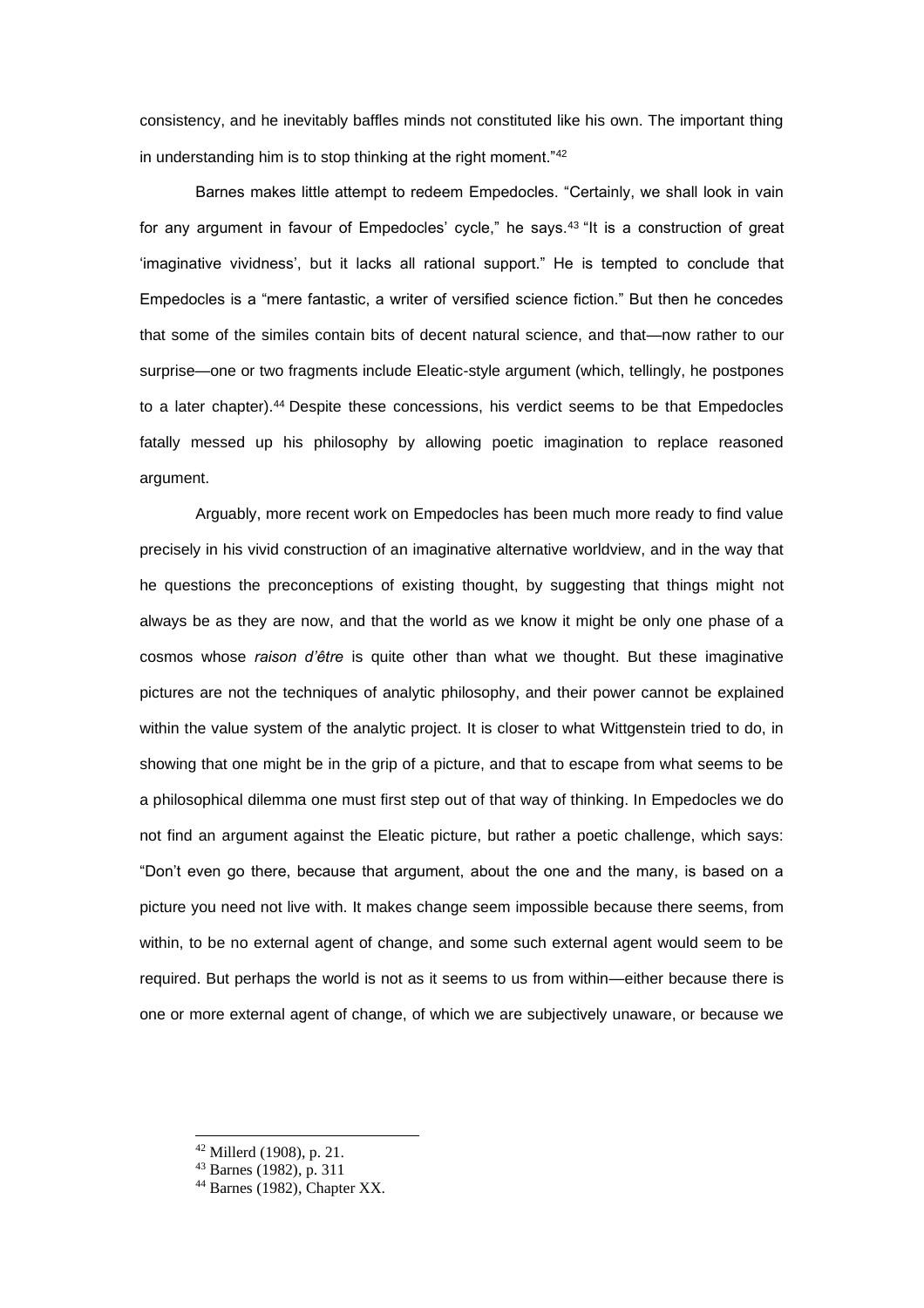consistency, and he inevitably baffles minds not constituted like his own. The important thing in understanding him is to stop thinking at the right moment."<sup>42</sup>

Barnes makes little attempt to redeem Empedocles. "Certainly, we shall look in vain for any argument in favour of Empedocles' cycle," he says.<sup>43</sup> "It is a construction of great 'imaginative vividness', but it lacks all rational support." He is tempted to conclude that Empedocles is a "mere fantastic, a writer of versified science fiction." But then he concedes that some of the similes contain bits of decent natural science, and that—now rather to our surprise—one or two fragments include Eleatic-style argument (which, tellingly, he postpones to a later chapter).<sup>44</sup> Despite these concessions, his verdict seems to be that Empedocles fatally messed up his philosophy by allowing poetic imagination to replace reasoned argument.

Arguably, more recent work on Empedocles has been much more ready to find value precisely in his vivid construction of an imaginative alternative worldview, and in the way that he questions the preconceptions of existing thought, by suggesting that things might not always be as they are now, and that the world as we know it might be only one phase of a cosmos whose *raison d'être* is quite other than what we thought. But these imaginative pictures are not the techniques of analytic philosophy, and their power cannot be explained within the value system of the analytic project. It is closer to what Wittgenstein tried to do, in showing that one might be in the grip of a picture, and that to escape from what seems to be a philosophical dilemma one must first step out of that way of thinking. In Empedocles we do not find an argument against the Eleatic picture, but rather a poetic challenge, which says: "Don't even go there, because that argument, about the one and the many, is based on a picture you need not live with. It makes change seem impossible because there seems, from within, to be no external agent of change, and some such external agent would seem to be required. But perhaps the world is not as it seems to us from within—either because there is one or more external agent of change, of which we are subjectively unaware, or because we

<sup>42</sup> [Millerd \(1908\),](#page-22-21) p. 21.

<sup>43</sup> [Barnes \(1982\),](#page-22-12) p. 311

<sup>44</sup> [Barnes \(1982\),](#page-22-12) Chapter XX.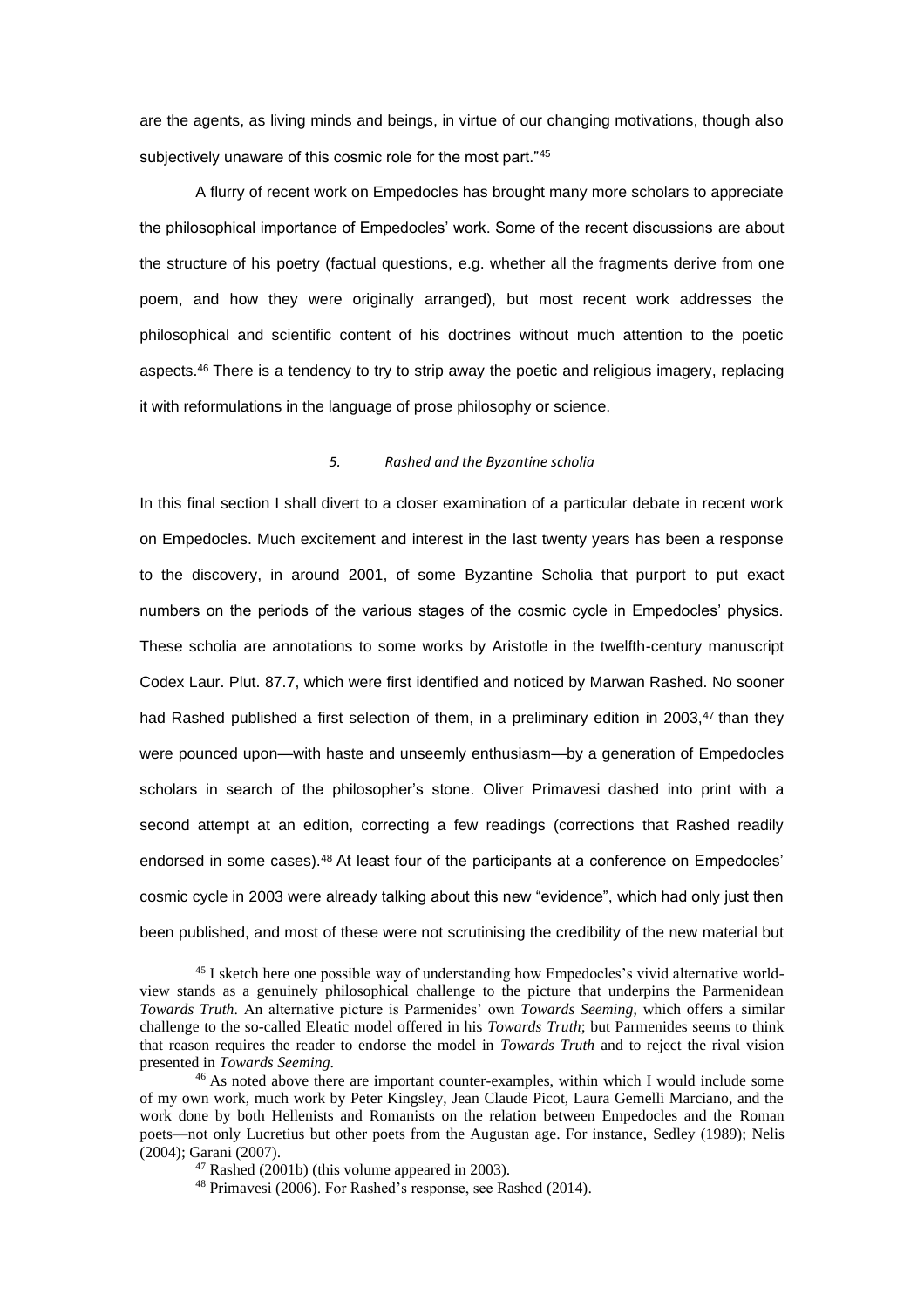are the agents, as living minds and beings, in virtue of our changing motivations, though also subjectively unaware of this cosmic role for the most part."45

A flurry of recent work on Empedocles has brought many more scholars to appreciate the philosophical importance of Empedocles' work. Some of the recent discussions are about the structure of his poetry (factual questions, e.g. whether all the fragments derive from one poem, and how they were originally arranged), but most recent work addresses the philosophical and scientific content of his doctrines without much attention to the poetic aspects.<sup>46</sup> There is a tendency to try to strip away the poetic and religious imagery, replacing it with reformulations in the language of prose philosophy or science.

#### *5. Rashed and the Byzantine scholia*

In this final section I shall divert to a closer examination of a particular debate in recent work on Empedocles. Much excitement and interest in the last twenty years has been a response to the discovery, in around 2001, of some Byzantine Scholia that purport to put exact numbers on the periods of the various stages of the cosmic cycle in Empedocles' physics. These scholia are annotations to some works by Aristotle in the twelfth-century manuscript Codex Laur. Plut. 87.7, which were first identified and noticed by Marwan Rashed. No sooner had Rashed published a first selection of them, in a preliminary edition in  $2003<sub>1</sub><sup>47</sup>$  than they were pounced upon—with haste and unseemly enthusiasm—by a generation of Empedocles scholars in search of the philosopher's stone. Oliver Primavesi dashed into print with a second attempt at an edition, correcting a few readings (corrections that Rashed readily endorsed in some cases).<sup>48</sup> At least four of the participants at a conference on Empedocles' cosmic cycle in 2003 were already talking about this new "evidence", which had only just then been published, and most of these were not scrutinising the credibility of the new material but

<sup>45</sup> I sketch here one possible way of understanding how Empedocles's vivid alternative worldview stands as a genuinely philosophical challenge to the picture that underpins the Parmenidean *Towards Truth*. An alternative picture is Parmenides' own *Towards Seeming*, which offers a similar challenge to the so-called Eleatic model offered in his *Towards Truth*; but Parmenides seems to think that reason requires the reader to endorse the model in *Towards Truth* and to reject the rival vision presented in *Towards Seeming*.

<sup>46</sup> As noted above there are important counter-examples, within which I would include some of my own work, much work by Peter Kingsley, Jean Claude Picot, Laura Gemelli Marciano, and the work done by both Hellenists and Romanists on the relation between Empedocles and the Roman poets—not only Lucretius but other poets from the Augustan age. For instance, [Sedley \(1989\);](#page-24-5) [Nelis](#page-23-12)  [\(2004\);](#page-23-12) [Garani \(2007\).](#page-22-22)

 $47$  [Rashed \(2001b\)](#page-24-6) (this volume appeared in 2003).

<sup>48</sup> [Primavesi \(2006\).](#page-23-13) For Rashed's response, see [Rashed \(2014\).](#page-24-7)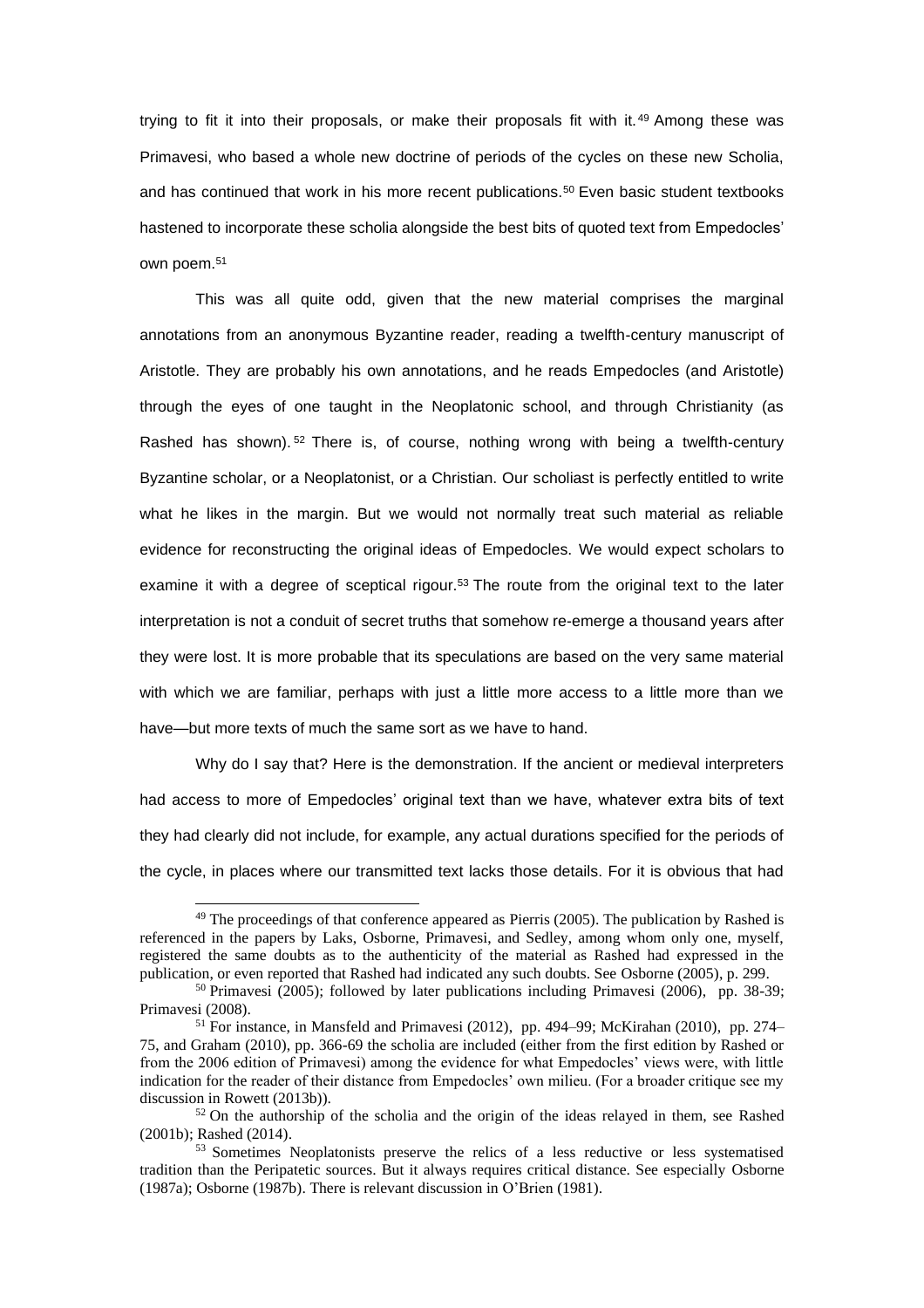trying to fit it into their proposals, or make their proposals fit with it. <sup>49</sup> Among these was Primavesi, who based a whole new doctrine of periods of the cycles on these new Scholia, and has continued that work in his more recent publications.<sup>50</sup> Even basic student textbooks hastened to incorporate these scholia alongside the best bits of quoted text from Empedocles' own poem.<sup>51</sup>

This was all quite odd, given that the new material comprises the marginal annotations from an anonymous Byzantine reader, reading a twelfth-century manuscript of Aristotle. They are probably his own annotations, and he reads Empedocles (and Aristotle) through the eyes of one taught in the Neoplatonic school, and through Christianity (as Rashed has shown).  $52$  There is, of course, nothing wrong with being a twelfth-century Byzantine scholar, or a Neoplatonist, or a Christian. Our scholiast is perfectly entitled to write what he likes in the margin. But we would not normally treat such material as reliable evidence for reconstructing the original ideas of Empedocles. We would expect scholars to examine it with a degree of sceptical rigour.<sup>53</sup> The route from the original text to the later interpretation is not a conduit of secret truths that somehow re-emerge a thousand years after they were lost. It is more probable that its speculations are based on the very same material with which we are familiar, perhaps with just a little more access to a little more than we have—but more texts of much the same sort as we have to hand.

Why do I say that? Here is the demonstration. If the ancient or medieval interpreters had access to more of Empedocles' original text than we have, whatever extra bits of text they had clearly did not include, for example, any actual durations specified for the periods of the cycle, in places where our transmitted text lacks those details. For it is obvious that had

<sup>&</sup>lt;sup>49</sup> The proceedings of that conference appeared as [Pierris \(2005\).](#page-23-14) The publication by Rashed is referenced in the papers by Laks, Osborne, Primavesi, and Sedley, among whom only one, myself, registered the same doubts as to the authenticity of the material as Rashed had expressed in the publication, or even reported that Rashed had indicated any such doubts. See [Osborne \(2005\),](#page-23-15) p. 299.

<sup>50</sup> [Primavesi \(2005\);](#page-23-16) followed by later publications including [Primavesi \(2006\), pp. 38-39;](#page-23-13) [Primavesi \(2008\).](#page-23-17)

<sup>51</sup> For instance, in [Mansfeld and Primavesi \(2012\), pp. 494–99;](#page-22-23) [McKirahan \(2010\), pp. 274–](#page-22-24) [75,](#page-22-24) and [Graham \(2010\),](#page-22-25) pp. 366-69 the scholia are included (either from the first edition by Rashed or from the 2006 edition of Primavesi) among the evidence for what Empedocles' views were, with little indication for the reader of their distance from Empedocles' own milieu. (For a broader critique see my discussion in [Rowett \(2013b\)\)](#page-24-8).

<sup>52</sup> On the authorship of the scholia and the origin of the ideas relayed in them, see [Rashed](#page-24-6)  [\(2001b\);](#page-24-6) [Rashed \(2014\).](#page-24-7)

<sup>53</sup> Sometimes Neoplatonists preserve the relics of a less reductive or less systematised tradition than the Peripatetic sources. But it always requires critical distance. See especially [Osborne](#page-23-18)  [\(1987a\);](#page-23-18) [Osborne \(1987b\).](#page-23-19) There is relevant discussion in O'Brien (1981).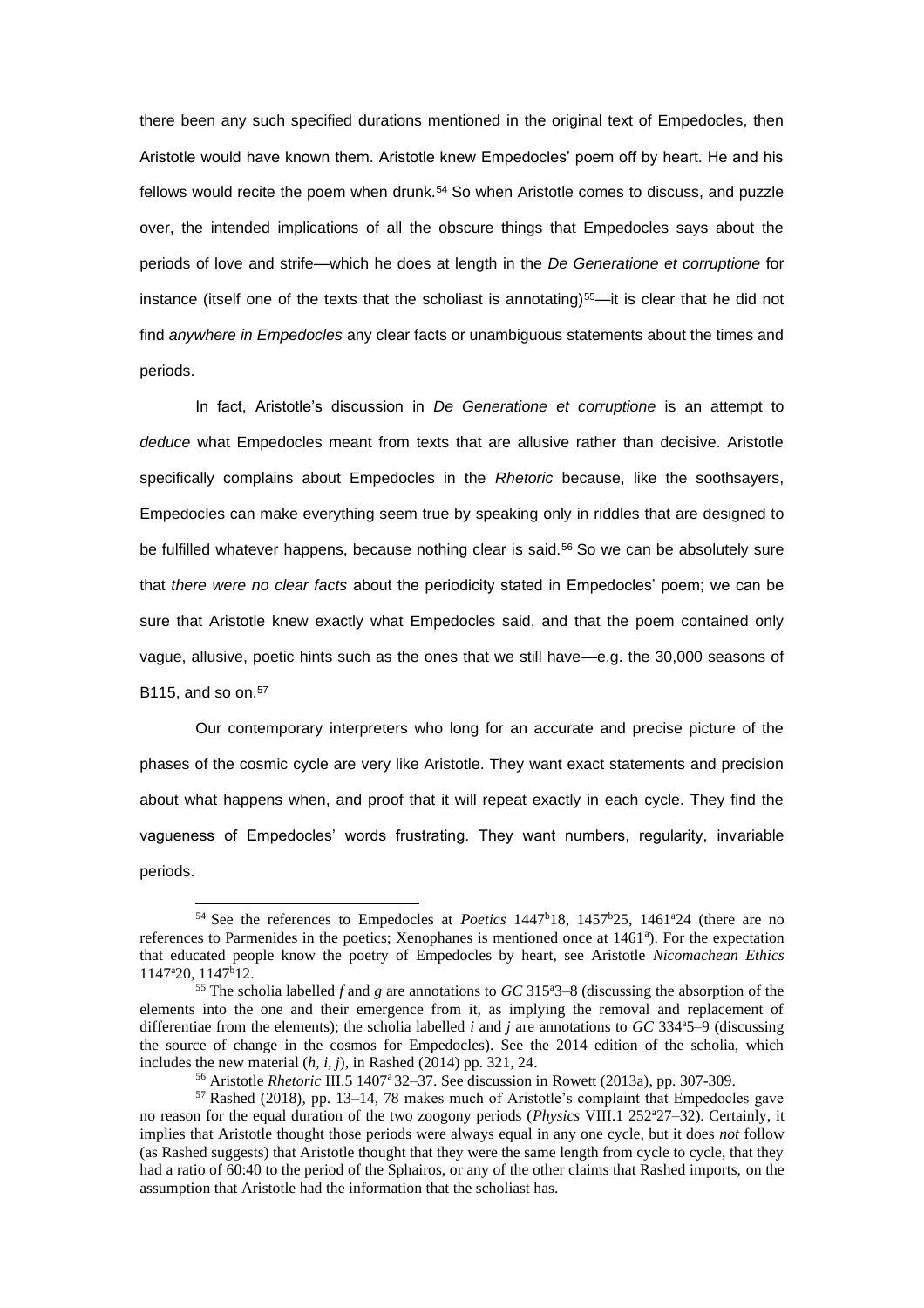<span id="page-16-0"></span>there been any such specified durations mentioned in the original text of Empedocles, then Aristotle would have known them. Aristotle knew Empedocles' poem off by heart. He and his fellows would recite the poem when drunk.<sup>54</sup> So when Aristotle comes to discuss, and puzzle over, the intended implications of all the obscure things that Empedocles says about the periods of love and strife—which he does at length in the *De Generatione et corruptione* for instance (itself one of the texts that the scholiast is annotating) $55$ —it is clear that he did not find *anywhere in Empedocles* any clear facts or unambiguous statements about the times and periods.

In fact, Aristotle's discussion in *De Generatione et corruptione* is an attempt to *deduce* what Empedocles meant from texts that are allusive rather than decisive. Aristotle specifically complains about Empedocles in the *Rhetoric* because, like the soothsayers, Empedocles can make everything seem true by speaking only in riddles that are designed to be fulfilled whatever happens, because nothing clear is said.<sup>56</sup> So we can be absolutely sure that *there were no clear facts* about the periodicity stated in Empedocles' poem; we can be sure that Aristotle knew exactly what Empedocles said, and that the poem contained only vague, allusive, poetic hints such as the ones that we still have—e.g. the 30,000 seasons of B115, and so on.<sup>57</sup>

Our contemporary interpreters who long for an accurate and precise picture of the phases of the cosmic cycle are very like Aristotle. They want exact statements and precision about what happens when, and proof that it will repeat exactly in each cycle. They find the vagueness of Empedocles' words frustrating. They want numbers, regularity, invariable periods.

<sup>&</sup>lt;sup>54</sup> See the references to Empedocles at *Poetics* 1447<sup>b</sup>18, 1457<sup>b</sup>25, 1461<sup>a</sup>24 (there are no references to Parmenides in the poetics; Xenophanes is mentioned once at 1461<sup>a</sup>). For the expectation that educated people know the poetry of Empedocles by heart, see Aristotle *Nicomachean Ethics*  1147<sup>a</sup>20, 1147<sup>b</sup>12.

<sup>55</sup> The scholia labelled *f* and *g* are annotations to *GC* 315<sup>a</sup>3–8 (discussing the absorption of the elements into the one and their emergence from it, as implying the removal and replacement of differentiae from the elements); the scholia labelled  $i$  and  $j$  are annotations to  $GC$  334 $45-9$  (discussing the source of change in the cosmos for Empedocles). See the 2014 edition of the scholia, which includes the new material  $(h, i, j)$ , i[n Rashed \(2014\) pp. 321, 24.](#page-24-7)

<sup>56</sup> Aristotle *Rhetoric* III.5 1407<sup>a</sup>32–37. See discussion in [Rowett \(2013a\),](#page-24-4) pp. 307-309.

<sup>57</sup> [Rashed \(2018\),](#page-24-9) pp. 13–14, 78 makes much of Aristotle's complaint that Empedocles gave no reason for the equal duration of the two zoogony periods (*Physics VIII.1 252<sup>a</sup>27–32*). Certainly, it implies that Aristotle thought those periods were always equal in any one cycle, but it does *not* follow (as Rashed suggests) that Aristotle thought that they were the same length from cycle to cycle, that they had a ratio of 60:40 to the period of the Sphairos, or any of the other claims that Rashed imports, on the assumption that Aristotle had the information that the scholiast has.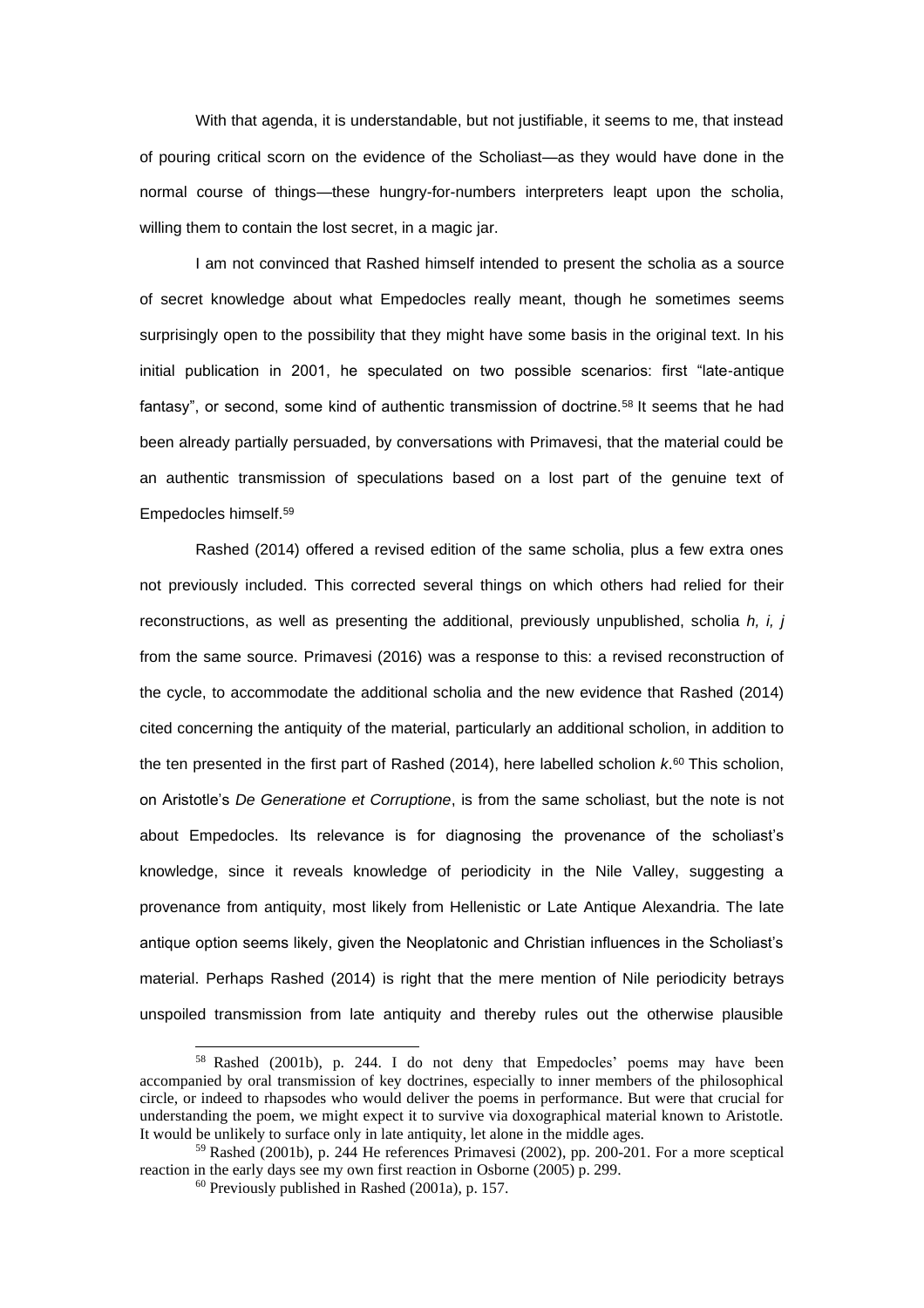With that agenda, it is understandable, but not justifiable, it seems to me, that instead of pouring critical scorn on the evidence of the Scholiast—as they would have done in the normal course of things—these hungry-for-numbers interpreters leapt upon the scholia, willing them to contain the lost secret, in a magic jar.

I am not convinced that Rashed himself intended to present the scholia as a source of secret knowledge about what Empedocles really meant, though he sometimes seems surprisingly open to the possibility that they might have some basis in the original text. In his initial publication in 2001, he speculated on two possible scenarios: first "late-antique fantasy", or second, some kind of authentic transmission of doctrine.<sup>58</sup> It seems that he had been already partially persuaded, by conversations with Primavesi, that the material could be an authentic transmission of speculations based on a lost part of the genuine text of Empedocles himself.<sup>59</sup>

[Rashed \(2014\)](#page-24-7) offered a revised edition of the same scholia, plus a few extra ones not previously included. This corrected several things on which others had relied for their reconstructions, as well as presenting the additional, previously unpublished, scholia *h, i, j* from the same source. [Primavesi \(2016\)](#page-23-20) was a response to this: a revised reconstruction of the cycle, to accommodate the additional scholia and the new evidence that [Rashed \(2014\)](#page-24-7) cited concerning the antiquity of the material, particularly an additional scholion, in addition to the ten presented in the first part of [Rashed \(2014\),](#page-24-7) here labelled scholion *k*. <sup>60</sup> This scholion, on Aristotle's *De Generatione et Corruptione*, is from the same scholiast, but the note is not about Empedocles. Its relevance is for diagnosing the provenance of the scholiast's knowledge, since it reveals knowledge of periodicity in the Nile Valley, suggesting a provenance from antiquity, most likely from Hellenistic or Late Antique Alexandria. The late antique option seems likely, given the Neoplatonic and Christian influences in the Scholiast's material. Perhaps [Rashed \(2014\)](#page-24-7) is right that the mere mention of Nile periodicity betrays unspoiled transmission from late antiquity and thereby rules out the otherwise plausible

<sup>58</sup> [Rashed \(2001b\),](#page-24-6) p. 244. I do not deny that Empedocles' poems may have been accompanied by oral transmission of key doctrines, especially to inner members of the philosophical circle, or indeed to rhapsodes who would deliver the poems in performance. But were that crucial for understanding the poem, we might expect it to survive via doxographical material known to Aristotle. It would be unlikely to surface only in late antiquity, let alone in the middle ages.

<sup>59</sup> [Rashed \(2001b\),](#page-24-6) p. 244 He references [Primavesi \(2002\),](#page-23-21) pp. 200-201. For a more sceptical reaction in the early days see my own first reaction in [Osborne \(2005\) p. 299.](#page-23-15)

 $60$  Previously published in [Rashed \(2001a\),](#page-24-10) p. 157.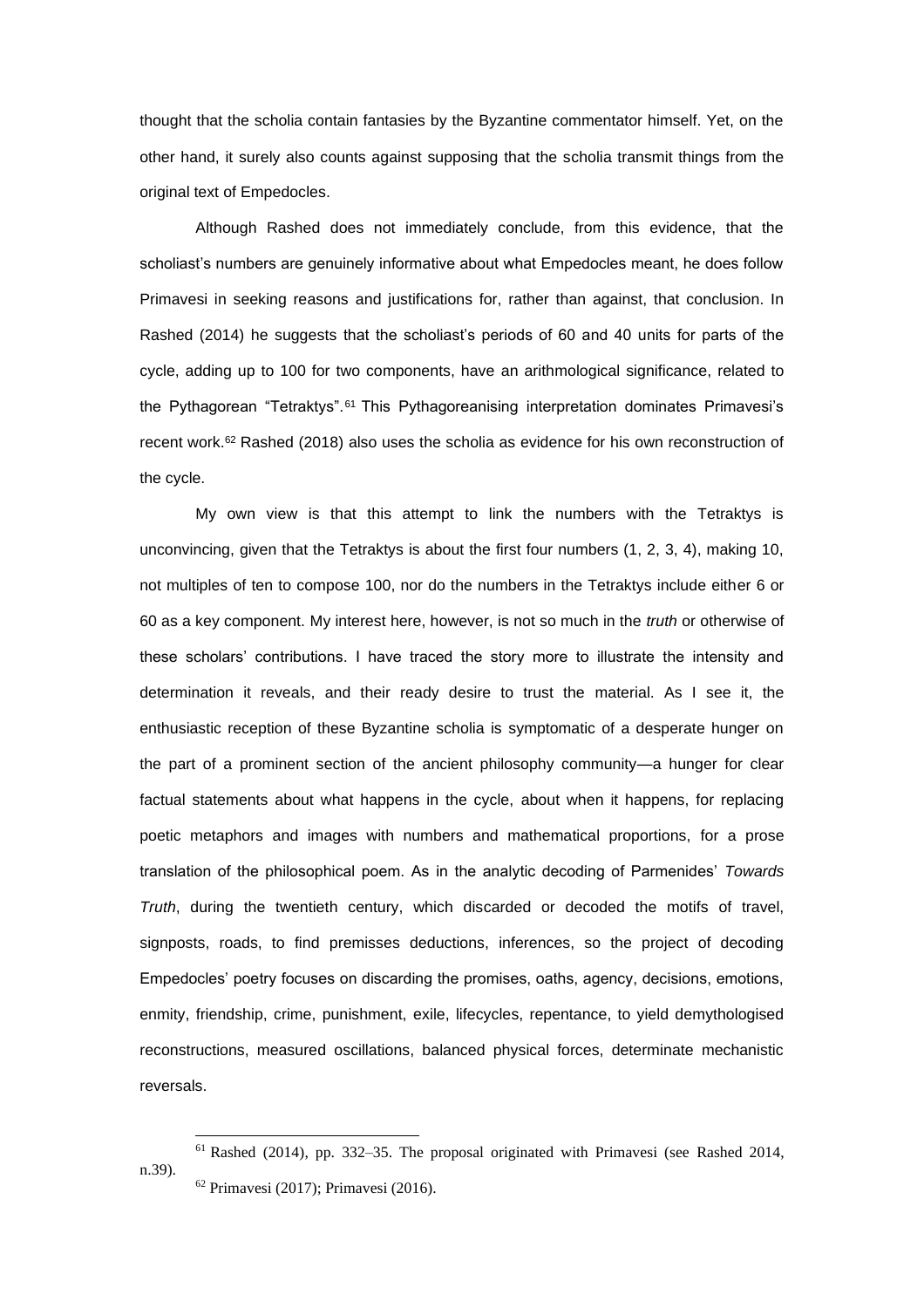thought that the scholia contain fantasies by the Byzantine commentator himself. Yet, on the other hand, it surely also counts against supposing that the scholia transmit things from the original text of Empedocles.

Although Rashed does not immediately conclude, from this evidence, that the scholiast's numbers are genuinely informative about what Empedocles meant, he does follow Primavesi in seeking reasons and justifications for, rather than against, that conclusion. In [Rashed \(2014\)](#page-24-7) he suggests that the scholiast's periods of 60 and 40 units for parts of the cycle, adding up to 100 for two components, have an arithmological significance, related to the Pythagorean "Tetraktys".<sup>61</sup> This Pythagoreanising interpretation dominates Primavesi's recent work.<sup>62</sup> [Rashed \(2018\)](#page-24-9) also uses the scholia as evidence for his own reconstruction of the cycle.

My own view is that this attempt to link the numbers with the Tetraktys is unconvincing, given that the Tetraktys is about the first four numbers (1, 2, 3, 4), making 10, not multiples of ten to compose 100, nor do the numbers in the Tetraktys include either 6 or 60 as a key component. My interest here, however, is not so much in the *truth* or otherwise of these scholars' contributions. I have traced the story more to illustrate the intensity and determination it reveals, and their ready desire to trust the material. As I see it, the enthusiastic reception of these Byzantine scholia is symptomatic of a desperate hunger on the part of a prominent section of the ancient philosophy community—a hunger for clear factual statements about what happens in the cycle, about when it happens, for replacing poetic metaphors and images with numbers and mathematical proportions, for a prose translation of the philosophical poem. As in the analytic decoding of Parmenides' *Towards Truth*, during the twentieth century, which discarded or decoded the motifs of travel, signposts, roads, to find premisses deductions, inferences, so the project of decoding Empedocles' poetry focuses on discarding the promises, oaths, agency, decisions, emotions, enmity, friendship, crime, punishment, exile, lifecycles, repentance, to yield demythologised reconstructions, measured oscillations, balanced physical forces, determinate mechanistic reversals.

 $61$  [Rashed \(2014\),](#page-24-7) pp. 332–35. The proposal originated with Primavesi (see [Rashed 2014,](#page-24-7) n.39). <sup>62</sup> [Primavesi \(2017\);](#page-24-11) [Primavesi \(2016\).](#page-23-20)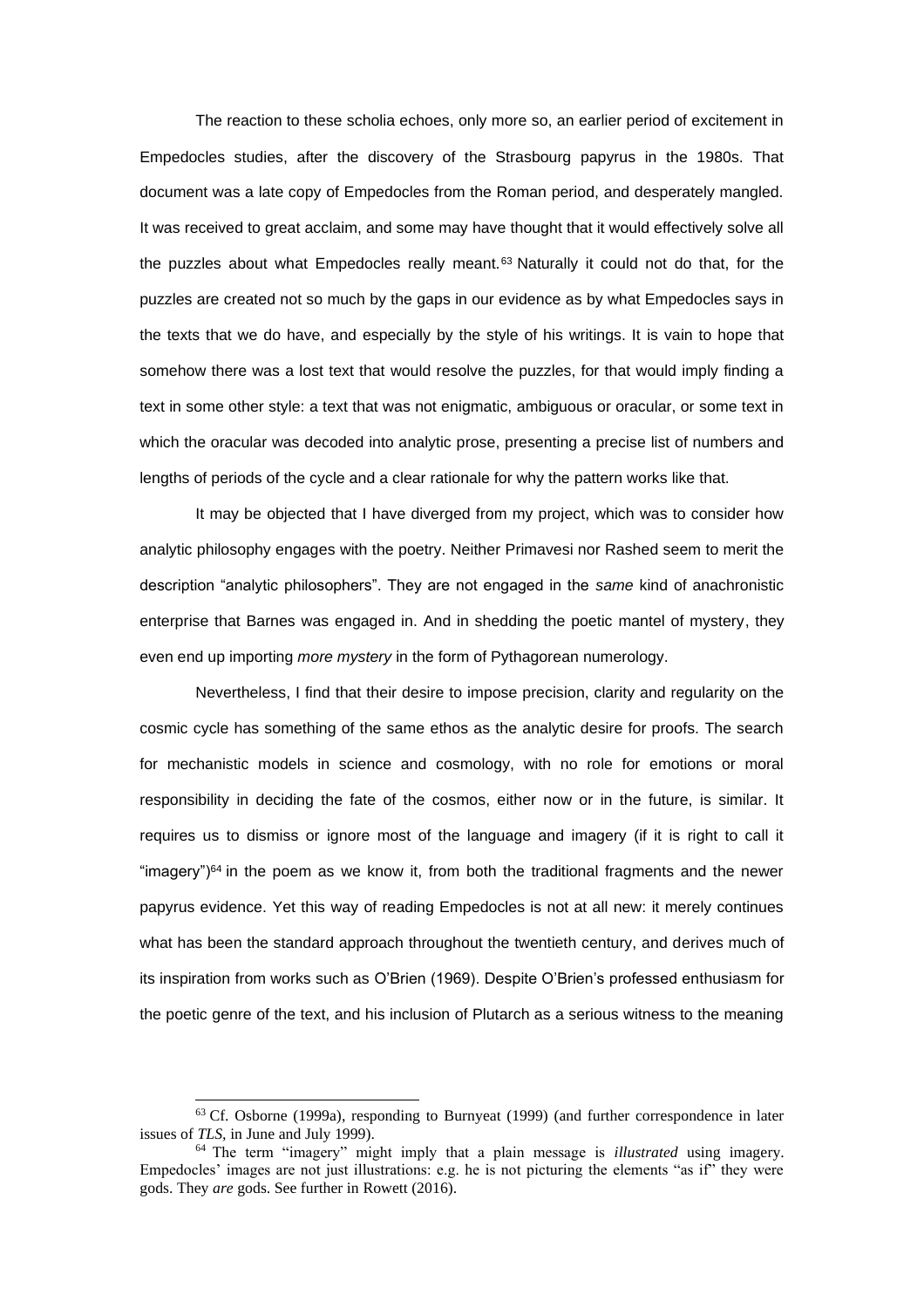The reaction to these scholia echoes, only more so, an earlier period of excitement in Empedocles studies, after the discovery of the Strasbourg papyrus in the 1980s. That document was a late copy of Empedocles from the Roman period, and desperately mangled. It was received to great acclaim, and some may have thought that it would effectively solve all the puzzles about what Empedocles really meant.<sup>63</sup> Naturally it could not do that, for the puzzles are created not so much by the gaps in our evidence as by what Empedocles says in the texts that we do have, and especially by the style of his writings. It is vain to hope that somehow there was a lost text that would resolve the puzzles, for that would imply finding a text in some other style: a text that was not enigmatic, ambiguous or oracular, or some text in which the oracular was decoded into analytic prose, presenting a precise list of numbers and lengths of periods of the cycle and a clear rationale for why the pattern works like that.

It may be objected that I have diverged from my project, which was to consider how analytic philosophy engages with the poetry. Neither Primavesi nor Rashed seem to merit the description "analytic philosophers". They are not engaged in the *same* kind of anachronistic enterprise that Barnes was engaged in. And in shedding the poetic mantel of mystery, they even end up importing *more mystery* in the form of Pythagorean numerology.

Nevertheless, I find that their desire to impose precision, clarity and regularity on the cosmic cycle has something of the same ethos as the analytic desire for proofs. The search for mechanistic models in science and cosmology, with no role for emotions or moral responsibility in deciding the fate of the cosmos, either now or in the future, is similar. It requires us to dismiss or ignore most of the language and imagery (if it is right to call it "imagery") $64$  in the poem as we know it, from both the traditional fragments and the newer papyrus evidence. Yet this way of reading Empedocles is not at all new: it merely continues what has been the standard approach throughout the twentieth century, and derives much of its inspiration from works such as O'Brien (1969). Despite O'Brien's professed enthusiasm for the poetic genre of the text, and his inclusion of Plutarch as a serious witness to the meaning

<sup>63</sup> Cf. [Osborne \(1999a\),](#page-23-22) responding to [Burnyeat \(1999\)](#page-22-26) (and further correspondence in later issues of *TLS,* in June and July 1999).

<sup>64</sup> The term "imagery" might imply that a plain message is *illustrated* using imagery. Empedocles' images are not just illustrations: e.g. he is not picturing the elements "as if" they were gods. They *are* gods. See further i[n Rowett \(2016\).](#page-24-12)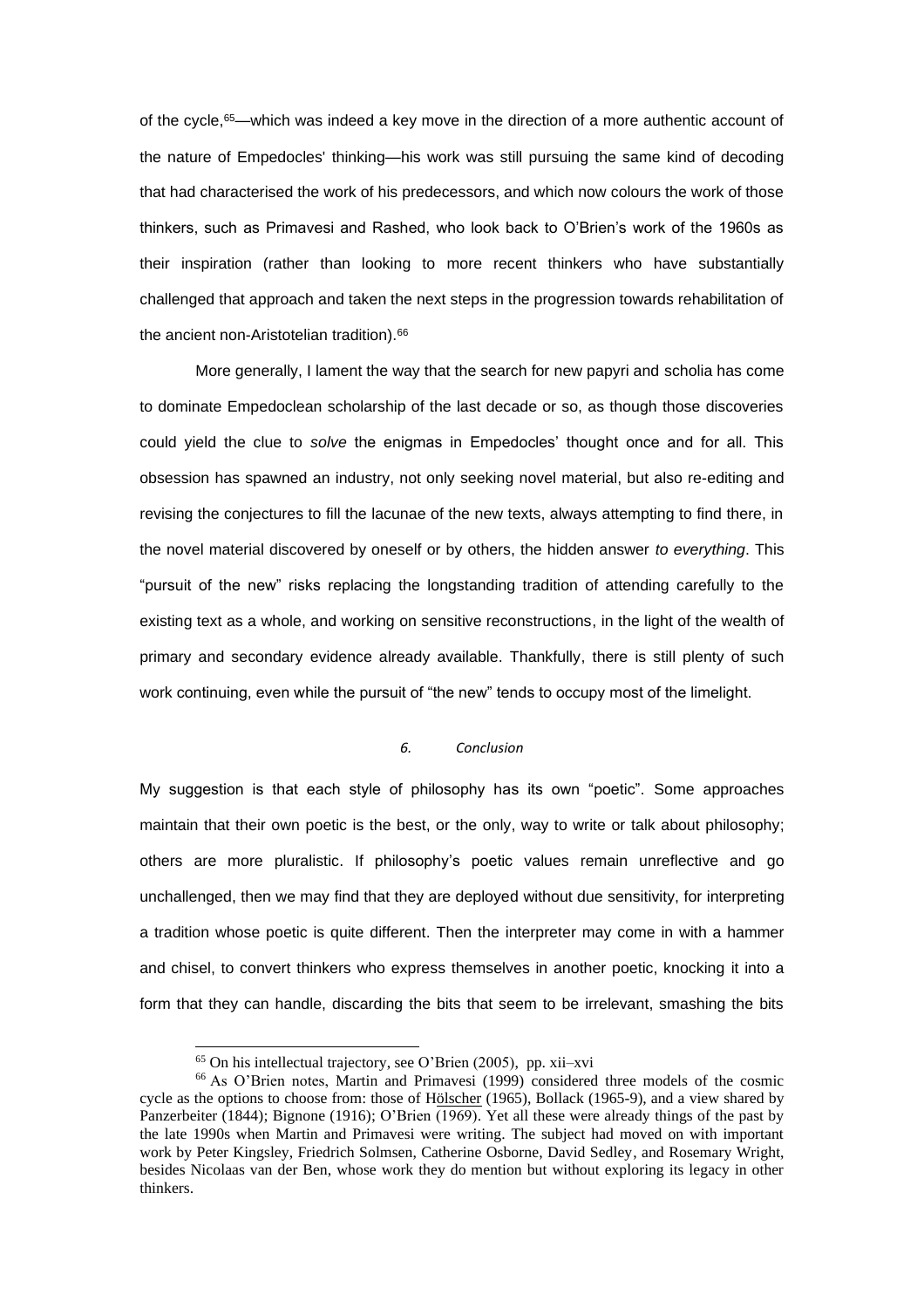of the cycle,<sup>65</sup>—which was indeed a key move in the direction of a more authentic account of the nature of Empedocles' thinking—his work was still pursuing the same kind of decoding that had characterised the work of his predecessors, and which now colours the work of those thinkers, such as Primavesi and Rashed, who look back to O'Brien's work of the 1960s as their inspiration (rather than looking to more recent thinkers who have substantially challenged that approach and taken the next steps in the progression towards rehabilitation of the ancient non-Aristotelian tradition).<sup>66</sup>

More generally, I lament the way that the search for new papyri and scholia has come to dominate Empedoclean scholarship of the last decade or so, as though those discoveries could yield the clue to *solve* the enigmas in Empedocles' thought once and for all. This obsession has spawned an industry, not only seeking novel material, but also re-editing and revising the conjectures to fill the lacunae of the new texts, always attempting to find there, in the novel material discovered by oneself or by others, the hidden answer *to everything*. This "pursuit of the new" risks replacing the longstanding tradition of attending carefully to the existing text as a whole, and working on sensitive reconstructions, in the light of the wealth of primary and secondary evidence already available. Thankfully, there is still plenty of such work continuing, even while the pursuit of "the new" tends to occupy most of the limelight.

### *6. Conclusion*

My suggestion is that each style of philosophy has its own "poetic". Some approaches maintain that their own poetic is the best, or the only, way to write or talk about philosophy; others are more pluralistic. If philosophy's poetic values remain unreflective and go unchallenged, then we may find that they are deployed without due sensitivity, for interpreting a tradition whose poetic is quite different. Then the interpreter may come in with a hammer and chisel, to convert thinkers who express themselves in another poetic, knocking it into a form that they can handle, discarding the bits that seem to be irrelevant, smashing the bits

 $65$  On his intellectual trajectory, see O'Brien (2005), pp. xii–xvi

<sup>66</sup> As O'Brien notes, [Martin and Primavesi \(1999\)](#page-22-27) considered three models of the cosmic cycle as the options to choose from: those of [Hölscher](#page-22-28) (1965), [Bollack \(1965-9\),](#page-22-29) and a view shared by [Panzerbeiter \(1844\);](#page-23-23) [Bignone \(1916\);](#page-22-30) O'Brien (1969). Yet all these were already things of the past by the late 1990s when Martin and Primavesi were writing. The subject had moved on with important work by Peter Kingsley, Friedrich Solmsen, Catherine Osborne, David Sedley, and Rosemary Wright, besides Nicolaas van der Ben, whose work they do mention but without exploring its legacy in other thinkers.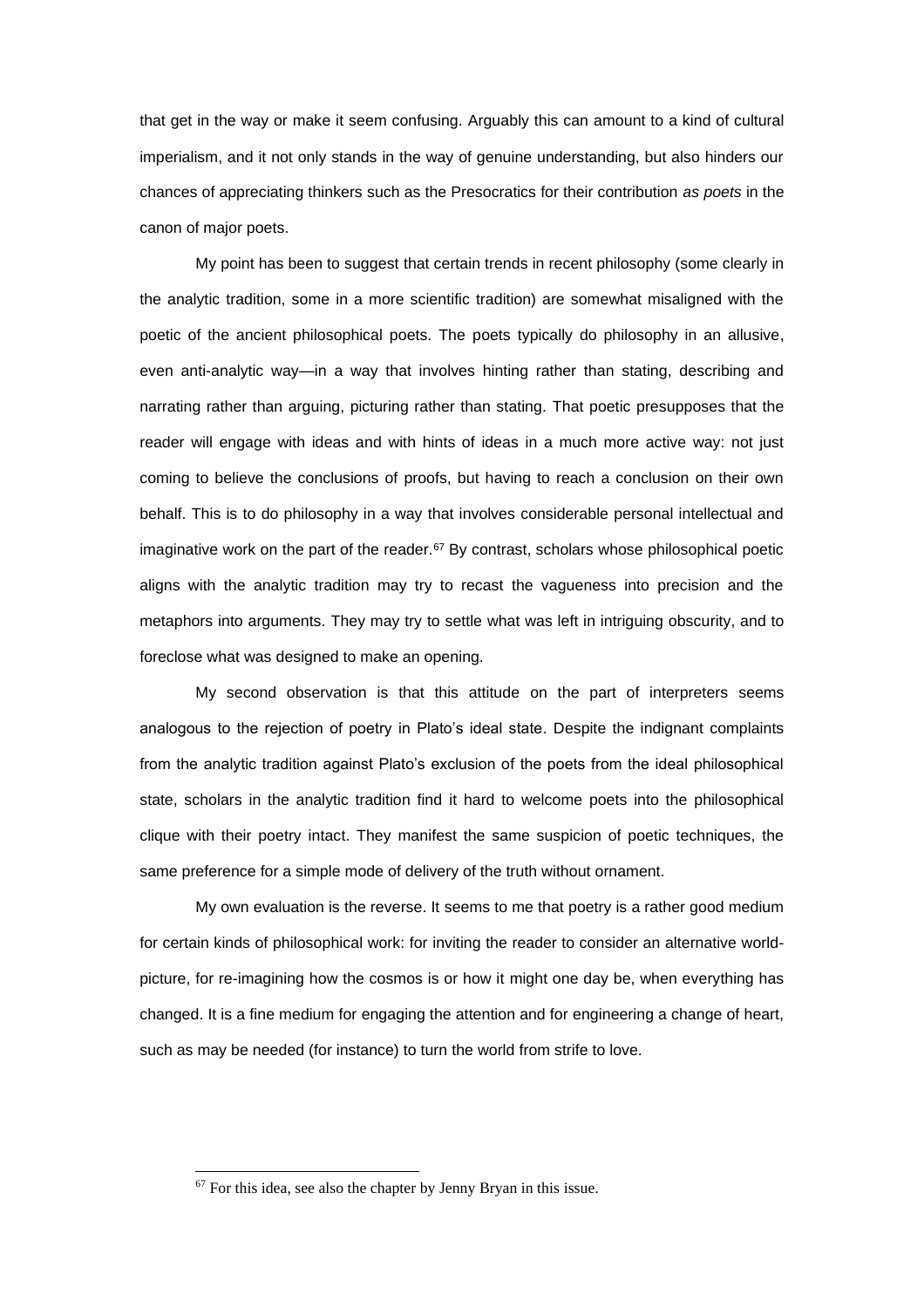that get in the way or make it seem confusing. Arguably this can amount to a kind of cultural imperialism, and it not only stands in the way of genuine understanding, but also hinders our chances of appreciating thinkers such as the Presocratics for their contribution *as poets* in the canon of major poets.

My point has been to suggest that certain trends in recent philosophy (some clearly in the analytic tradition, some in a more scientific tradition) are somewhat misaligned with the poetic of the ancient philosophical poets. The poets typically do philosophy in an allusive, even anti-analytic way—in a way that involves hinting rather than stating, describing and narrating rather than arguing, picturing rather than stating. That poetic presupposes that the reader will engage with ideas and with hints of ideas in a much more active way: not just coming to believe the conclusions of proofs, but having to reach a conclusion on their own behalf. This is to do philosophy in a way that involves considerable personal intellectual and imaginative work on the part of the reader.<sup>67</sup> By contrast, scholars whose philosophical poetic aligns with the analytic tradition may try to recast the vagueness into precision and the metaphors into arguments. They may try to settle what was left in intriguing obscurity, and to foreclose what was designed to make an opening.

My second observation is that this attitude on the part of interpreters seems analogous to the rejection of poetry in Plato's ideal state. Despite the indignant complaints from the analytic tradition against Plato's exclusion of the poets from the ideal philosophical state, scholars in the analytic tradition find it hard to welcome poets into the philosophical clique with their poetry intact. They manifest the same suspicion of poetic techniques, the same preference for a simple mode of delivery of the truth without ornament.

My own evaluation is the reverse. It seems to me that poetry is a rather good medium for certain kinds of philosophical work: for inviting the reader to consider an alternative worldpicture, for re-imagining how the cosmos is or how it might one day be, when everything has changed. It is a fine medium for engaging the attention and for engineering a change of heart, such as may be needed (for instance) to turn the world from strife to love.

<sup>67</sup> For this idea, see also the chapter by Jenny Bryan in this issue.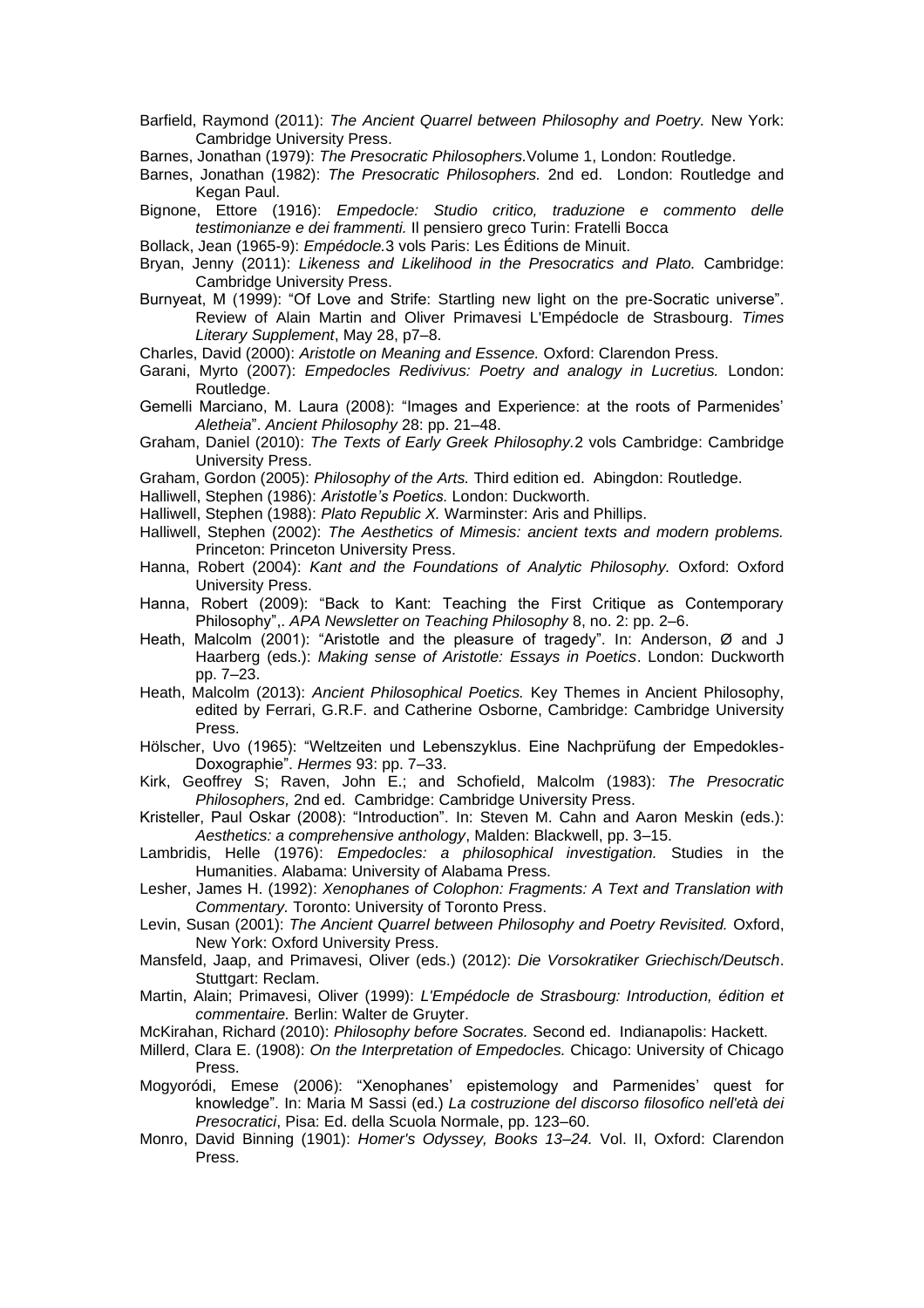- <span id="page-22-5"></span>Barfield, Raymond (2011): *The Ancient Quarrel between Philosophy and Poetry.* New York: Cambridge University Press.
- <span id="page-22-16"></span>Barnes, Jonathan (1979): *The Presocratic Philosophers.*Volume 1, London: Routledge.
- <span id="page-22-12"></span>Barnes, Jonathan (1982): *The Presocratic Philosophers.* 2nd ed. London: Routledge and Kegan Paul.
- <span id="page-22-30"></span>Bignone, Ettore (1916): *Empedocle: Studio critico, traduzione e commento delle testimonianze e dei frammenti.* Il pensiero greco Turin: Fratelli Bocca
- <span id="page-22-29"></span>Bollack, Jean (1965-9): *Empédocle.*3 vols Paris: Les Éditions de Minuit.
- <span id="page-22-18"></span>Bryan, Jenny (2011): *Likeness and Likelihood in the Presocratics and Plato.* Cambridge: Cambridge University Press.
- <span id="page-22-26"></span>Burnyeat, M (1999): "Of Love and Strife: Startling new light on the pre-Socratic universe". Review of Alain Martin and Oliver Primavesi L'Empédocle de Strasbourg. *Times Literary Supplement*, May 28, p7–8.
- <span id="page-22-10"></span>Charles, David (2000): *Aristotle on Meaning and Essence.* Oxford: Clarendon Press.
- <span id="page-22-22"></span>Garani, Myrto (2007): *Empedocles Redivivus: Poetry and analogy in Lucretius.* London: Routledge.
- <span id="page-22-14"></span>Gemelli Marciano, M. Laura (2008): "Images and Experience: at the roots of Parmenides' *Aletheia*". *Ancient Philosophy* 28: pp. 21–48.
- <span id="page-22-25"></span>Graham, Daniel (2010): *The Texts of Early Greek Philosophy.*2 vols Cambridge: Cambridge University Press.
- <span id="page-22-8"></span>Graham, Gordon (2005): *Philosophy of the Arts.* Third edition ed. Abingdon: Routledge.
- <span id="page-22-6"></span>Halliwell, Stephen (1986): *Aristotle's Poetics.* London: Duckworth.
- <span id="page-22-1"></span>Halliwell, Stephen (1988): *Plato Republic X.* Warminster: Aris and Phillips.
- <span id="page-22-0"></span>Halliwell, Stephen (2002): *The Aesthetics of Mimesis: ancient texts and modern problems.* Princeton: Princeton University Press.
- <span id="page-22-11"></span>Hanna, Robert (2004): *Kant and the Foundations of Analytic Philosophy.* Oxford: Oxford University Press.
- <span id="page-22-13"></span>Hanna, Robert (2009): "Back to Kant: Teaching the First Critique as Contemporary Philosophy",. *APA Newsletter on Teaching Philosophy* 8, no. 2: pp. 2–6.
- <span id="page-22-7"></span>Heath, Malcolm (2001): "Aristotle and the pleasure of tragedy". In: Anderson, Ø and J Haarberg (eds.): *Making sense of Aristotle: Essays in Poetics*. London: Duckworth pp. 7–23.
- <span id="page-22-3"></span>Heath, Malcolm (2013): *Ancient Philosophical Poetics.* Key Themes in Ancient Philosophy, edited by Ferrari, G.R.F. and Catherine Osborne, Cambridge: Cambridge University Press.
- <span id="page-22-28"></span>Hölscher, Uvo (1965): "Weltzeiten und Lebenszyklus. Eine Nachprüfung der Empedokles-Doxographie". *Hermes* 93: pp. 7–33.
- <span id="page-22-15"></span>Kirk, Geoffrey S; Raven, John E.; and Schofield, Malcolm (1983): *The Presocratic Philosophers,* 2nd ed. Cambridge: Cambridge University Press.
- <span id="page-22-4"></span>Kristeller, Paul Oskar (2008): "Introduction". In: Steven M. Cahn and Aaron Meskin (eds.): *Aesthetics: a comprehensive anthology*, Malden: Blackwell, pp. 3–15.
- <span id="page-22-20"></span>Lambridis, Helle (1976): *Empedocles: a philosophical investigation.* Studies in the Humanities. Alabama: University of Alabama Press.
- <span id="page-22-17"></span>Lesher, James H. (1992): *Xenophanes of Colophon: Fragments: A Text and Translation with Commentary.* Toronto: University of Toronto Press.
- <span id="page-22-2"></span>Levin, Susan (2001): *The Ancient Quarrel between Philosophy and Poetry Revisited.* Oxford, New York: Oxford University Press.
- <span id="page-22-23"></span>Mansfeld, Jaap, and Primavesi, Oliver (eds.) (2012): *Die Vorsokratiker Griechisch/Deutsch*. Stuttgart: Reclam.
- <span id="page-22-27"></span>Martin, Alain; Primavesi, Oliver (1999): *L'Empédocle de Strasbourg: Introduction, édition et commentaire.* Berlin: Walter de Gruyter.
- <span id="page-22-24"></span>McKirahan, Richard (2010): *Philosophy before Socrates.* Second ed. Indianapolis: Hackett.
- <span id="page-22-21"></span>Millerd, Clara E. (1908): *On the Interpretation of Empedocles.* Chicago: University of Chicago Press.
- <span id="page-22-19"></span>Mogyoródi, Emese (2006): "Xenophanes' epistemology and Parmenides' quest for knowledge". In: Maria M Sassi (ed.) *La costruzione del discorso filosofico nell'età dei Presocratici*, Pisa: Ed. della Scuola Normale, pp. 123–60.
- <span id="page-22-9"></span>Monro, David Binning (1901): *Homer's Odyssey, Books 13–24.* Vol. II, Oxford: Clarendon Press.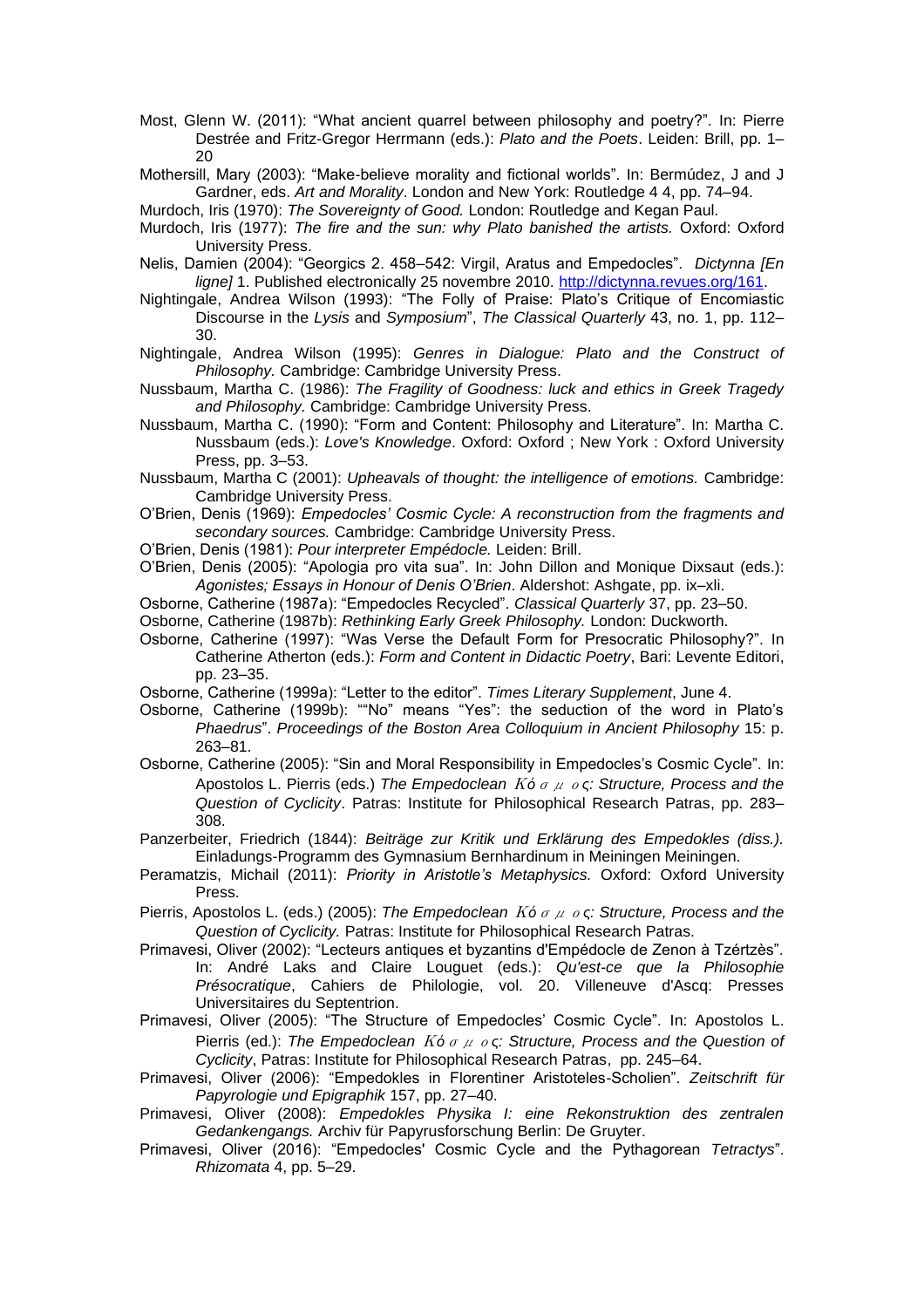- <span id="page-23-8"></span>Most, Glenn W. (2011): "What ancient quarrel between philosophy and poetry?". In: Pierre Destrée and Fritz-Gregor Herrmann (eds.): *Plato and the Poets*. Leiden: Brill, pp. 1– 20
- <span id="page-23-3"></span>Mothersill, Mary (2003): "Make-believe morality and fictional worlds". In: Bermúdez, J and J Gardner, eds. *Art and Morality*. London and New York: Routledge 4 4, pp. 74–94.

<span id="page-23-5"></span>Murdoch, Iris (1970): *The Sovereignty of Good.* London: Routledge and Kegan Paul.

- <span id="page-23-0"></span>Murdoch, Iris (1977): *The fire and the sun: why Plato banished the artists.* Oxford: Oxford University Press.
- <span id="page-23-12"></span>Nelis, Damien (2004): "Georgics 2. 458–542: Virgil, Aratus and Empedocles". *Dictynna [En ligne]* 1. Published electronically 25 novembre 2010. [http://dictynna.revues.org/161.](http://dictynna.revues.org/161)
- <span id="page-23-7"></span>Nightingale, Andrea Wilson (1993): "The Folly of Praise: Plato's Critique of Encomiastic Discourse in the *Lysis* and *Symposium*", *The Classical Quarterly* 43, no. 1, pp. 112– 30.
- <span id="page-23-6"></span>Nightingale, Andrea Wilson (1995): *Genres in Dialogue: Plato and the Construct of Philosophy.* Cambridge: Cambridge University Press.
- <span id="page-23-1"></span>Nussbaum, Martha C. (1986): *The Fragility of Goodness: luck and ethics in Greek Tragedy and Philosophy.* Cambridge: Cambridge University Press.
- <span id="page-23-10"></span>Nussbaum, Martha C. (1990): "Form and Content: Philosophy and Literature". In: Martha C. Nussbaum (eds.): *Love's Knowledge*. Oxford: Oxford ; New York : Oxford University Press, pp. 3–53.
- <span id="page-23-2"></span>Nussbaum, Martha C (2001): *Upheavals of thought: the intelligence of emotions.* Cambridge: Cambridge University Press.
- O'Brien, Denis (1969): *Empedocles' Cosmic Cycle: A reconstruction from the fragments and secondary sources.* Cambridge: Cambridge University Press.
- O'Brien, Denis (1981): *Pour interpreter Empédocle.* Leiden: Brill.
- O'Brien, Denis (2005): "Apologia pro vita sua". In: John Dillon and Monique Dixsaut (eds.): *Agonistes; Essays in Honour of Denis O'Brien*. Aldershot: Ashgate, pp. ix–xli.
- <span id="page-23-18"></span>Osborne, Catherine (1987a): "Empedocles Recycled". *Classical Quarterly* 37, pp. 23–50.
- <span id="page-23-19"></span>Osborne, Catherine (1987b): *Rethinking Early Greek Philosophy.* London: Duckworth.
- <span id="page-23-11"></span>Osborne, Catherine (1997): "Was Verse the Default Form for Presocratic Philosophy?". In Catherine Atherton (eds.): *Form and Content in Didactic Poetry*, Bari: Levente Editori, pp. 23–35.
- <span id="page-23-22"></span>Osborne, Catherine (1999a): "Letter to the editor". *Times Literary Supplement*, June 4.
- <span id="page-23-4"></span>Osborne, Catherine (1999b): ""No" means "Yes": the seduction of the word in Plato's *Phaedrus*". *Proceedings of the Boston Area Colloquium in Ancient Philosophy* 15: p. 263–81.
- <span id="page-23-15"></span>Osborne, Catherine (2005): "Sin and Moral Responsibility in Empedocles's Cosmic Cycle". In: Apostolos L. Pierris (eds.) *The Empedoclean* Κ*ό*σμο*ς: Structure, Process and the Question of Cyclicity*. Patras: Institute for Philosophical Research Patras, pp. 283– 308.
- <span id="page-23-23"></span>Panzerbeiter, Friedrich (1844): *Beiträge zur Kritik und Erklärung des Empedokles (diss.).* Einladungs-Programm des Gymnasium Bernhardinum in Meiningen Meiningen.
- <span id="page-23-9"></span>Peramatzis, Michail (2011): *Priority in Aristotle's Metaphysics.* Oxford: Oxford University Press.
- <span id="page-23-14"></span>Pierris, Apostolos L. (eds.) (2005): *The Empedoclean* Κ*ό*σμο*ς: Structure, Process and the Question of Cyclicity.* Patras: Institute for Philosophical Research Patras.
- <span id="page-23-21"></span>Primavesi, Oliver (2002): "Lecteurs antiques et byzantins d'Empédocle de Zenon à Tzértzès". In: André Laks and Claire Louguet (eds.): *Qu'est-ce que la Philosophie Présocratique*, Cahiers de Philologie, vol. 20. Villeneuve d'Ascq: Presses Universitaires du Septentrion.
- <span id="page-23-16"></span>Primavesi, Oliver (2005): "The Structure of Empedocles' Cosmic Cycle". In: Apostolos L. Pierris (ed.): *The Empedoclean* Κ*ό*σμο*ς: Structure, Process and the Question of Cyclicity*, Patras: Institute for Philosophical Research Patras, pp. 245–64.
- <span id="page-23-13"></span>Primavesi, Oliver (2006): "Empedokles in Florentiner Aristoteles-Scholien". *Zeitschrift für Papyrologie und Epigraphik* 157, pp. 27–40.
- <span id="page-23-17"></span>Primavesi, Oliver (2008): *Empedokles Physika I: eine Rekonstruktion des zentralen Gedankengangs.* Archiv für Papyrusforschung Berlin: De Gruyter.
- <span id="page-23-20"></span>Primavesi, Oliver (2016): "Empedocles' Cosmic Cycle and the Pythagorean *Tetractys*". *Rhizomata* 4, pp. 5–29.